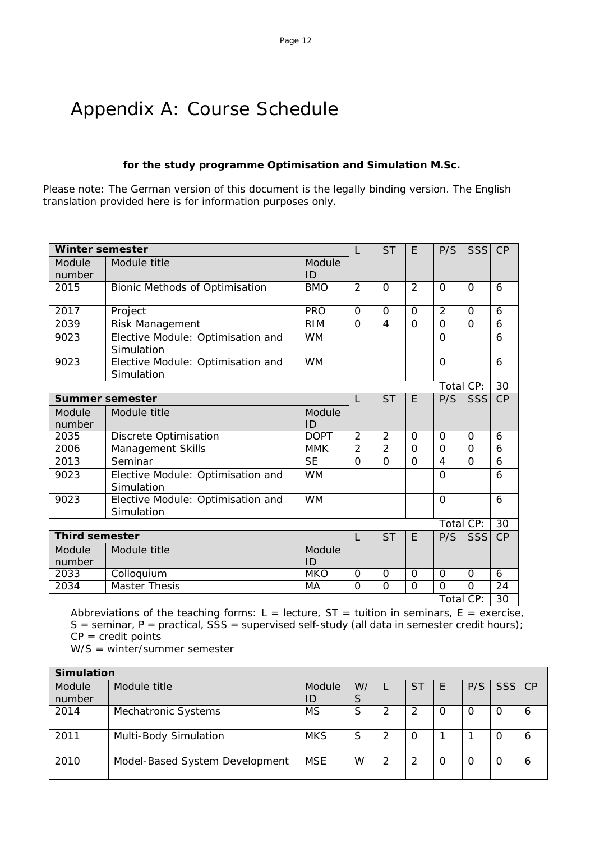## Appendix A: Course Schedule

## **for the study programme Optimisation and Simulation M.Sc.**

Please note: The German version of this document is the legally binding version. The English translation provided here is for information purposes only.

| <b>Winter semester</b> |                                                 |              | L              | <b>ST</b>      | E              | P/S            | SSS            | CP              |
|------------------------|-------------------------------------------------|--------------|----------------|----------------|----------------|----------------|----------------|-----------------|
| Module<br>number       | Module title                                    | Module<br>ID |                |                |                |                |                |                 |
| 2015                   | <b>Bionic Methods of Optimisation</b>           | <b>BMO</b>   | $\overline{2}$ | $\Omega$       | $\overline{2}$ | $\Omega$       | $\Omega$       | 6               |
| 2017                   | Project                                         | <b>PRO</b>   | $\Omega$       | $\Omega$       | $\Omega$       | $\overline{2}$ | $\Omega$       | 6               |
| 2039                   | Risk Management                                 | <b>RIM</b>   | $\Omega$       | 4              | $\overline{0}$ | $\Omega$       | $\overline{0}$ | 6               |
| 9023                   | Elective Module: Optimisation and<br>Simulation | <b>WM</b>    |                |                |                | $\Omega$       |                | 6               |
| 9023                   | Elective Module: Optimisation and<br>Simulation | <b>WM</b>    |                |                |                | $\Omega$       |                | 6               |
|                        |                                                 |              |                |                |                |                | Total CP:      | 30              |
|                        | Summer semester                                 |              |                | <b>ST</b>      | E              | P/S            | SSS            | CP              |
| Module                 | Module title                                    | Module       |                |                |                |                |                |                 |
| number                 |                                                 | ID           |                |                |                |                |                |                 |
| 2035                   | Discrete Optimisation                           | <b>DOPT</b>  | $\overline{2}$ | $\overline{2}$ | $\Omega$       | $\Omega$       | $\Omega$       | 6               |
| 2006                   | Management Skills                               | <b>MMK</b>   | $\overline{2}$ | $\overline{2}$ | $\mathbf 0$    | $\Omega$       | $\Omega$       | 6               |
| 2013                   | Seminar                                         | <b>SE</b>    | $\Omega$       | $\Omega$       | $\Omega$       | 4              | $\Omega$       | 6               |
| 9023                   | Elective Module: Optimisation and<br>Simulation | <b>WM</b>    |                |                |                | $\overline{0}$ |                | 6               |
| 9023                   | Elective Module: Optimisation and<br>Simulation | <b>WM</b>    |                |                |                | $\Omega$       |                | 6               |
|                        |                                                 |              |                |                |                |                | Total CP:      | 30              |
| <b>Third semester</b>  |                                                 |              |                | <b>ST</b>      | E              | P/S            | <b>SSS</b>     | CP              |
| Module<br>number       | Module title                                    | Module<br>ID |                |                |                |                |                |                 |
| 2033                   | Colloquium                                      | <b>MKO</b>   | $\Omega$       | $\Omega$       | $\Omega$       | $\Omega$       | $\Omega$       | 6               |
| 2034                   | <b>Master Thesis</b>                            | MA           | $\overline{0}$ | $\overline{O}$ | $\Omega$       | $\Omega$       | $\Omega$       | 24              |
|                        |                                                 |              |                |                |                |                | Total CP:      | $\overline{30}$ |

Abbreviations of the teaching forms:  $L =$  lecture,  $ST =$  tuition in seminars,  $E =$  exercise,  $S =$  seminar, P = practical,  $SS =$  supervised self-study (all data in semester credit hours);  $CP = \text{credit points}$ 

W/S = winter/summer semester

| <b>Simulation</b> |                                |            |    |   |    |   |          |        |   |
|-------------------|--------------------------------|------------|----|---|----|---|----------|--------|---|
| Module            | Module title                   | Module     | W/ |   | ST |   | P/S      | SSS CP |   |
| number            |                                | ID         | S  |   |    |   |          |        |   |
| 2014              | Mechatronic Systems            | ΜS         | S  | 2 |    | O | $\left($ | 0      | 6 |
|                   |                                |            |    |   |    |   |          |        |   |
| 2011              | Multi-Body Simulation          | <b>MKS</b> | S  | 2 | 0  |   |          | O      | 6 |
| 2010              | Model-Based System Development | <b>MSE</b> | W  | 2 | 2  |   | O        |        | 6 |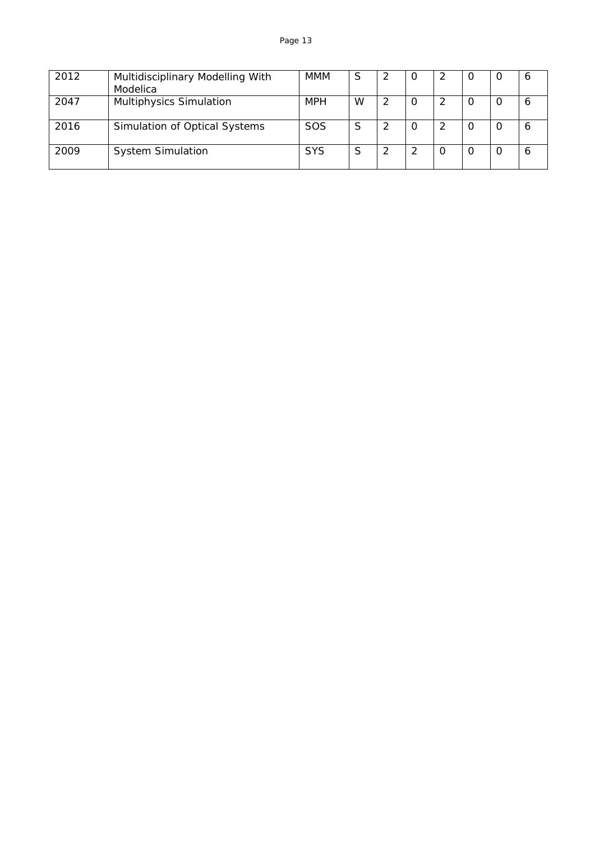| 2012 | Multidisciplinary Modelling With<br>Modelica | <b>MMM</b> | S | -2 | 0            | O        | O | <sup>6</sup> |
|------|----------------------------------------------|------------|---|----|--------------|----------|---|--------------|
| 2047 | <b>Multiphysics Simulation</b>               | <b>MPH</b> | W |    | <sup>O</sup> | O        | O | O            |
| 2016 | Simulation of Optical Systems                | <b>SOS</b> | S | -2 |              | $\Omega$ |   | 6            |
| 2009 | <b>System Simulation</b>                     | <b>SYS</b> | S | 2  |              |          |   | 6            |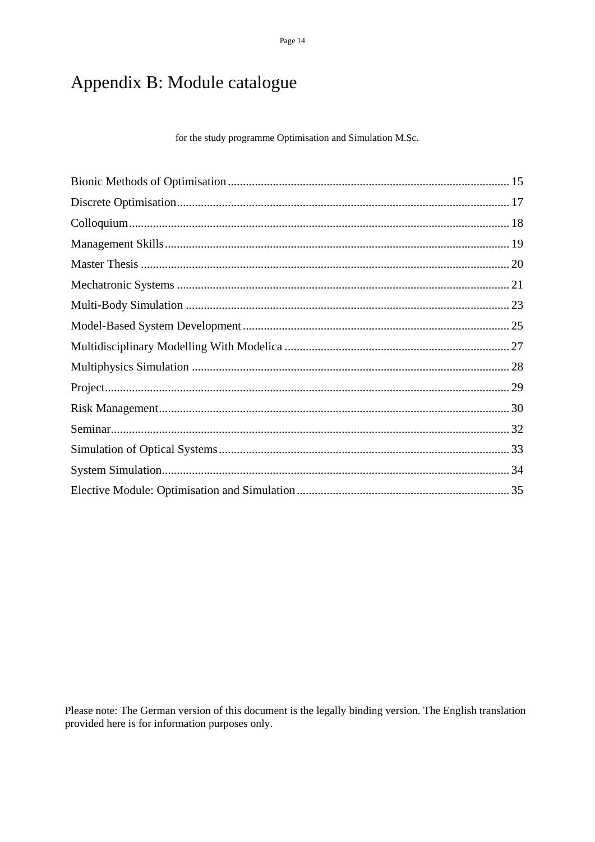Page 14

## Appendix B: Module catalogue

for the study programme Optimisation and Simulation M.Sc.

Please note: The German version of this document is the legally binding version. The English translation provided here is for information purposes only.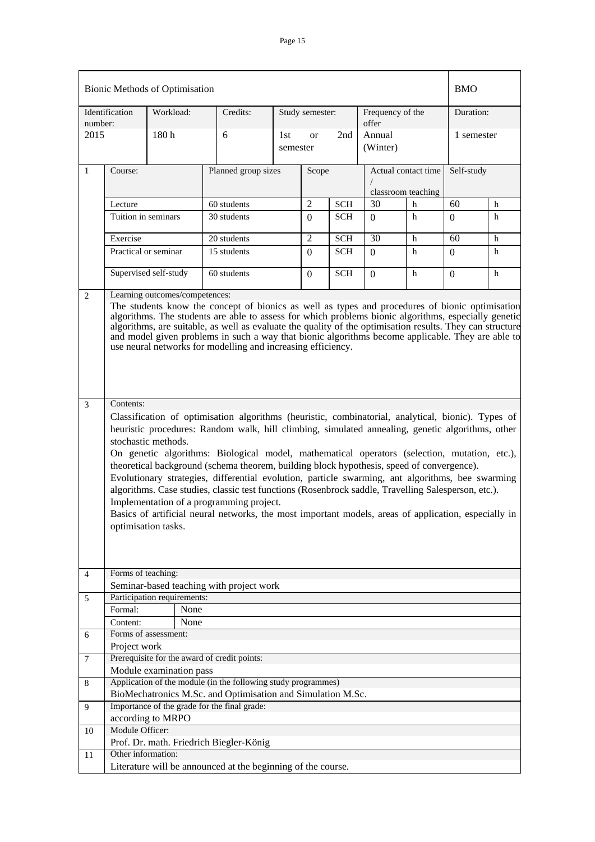|                | Bionic Methods of Optimisation                                                                                                                                                                                                                                                                                                                                                                                                                                                                                                                                                                                                                                                                                                                                                                                                                                                                                                                                                                                                                                                                                                                                                                                                                                                                                             |                                                                                   |      |                                                               |                 |                 |              |                           |                                           | <b>BMO</b> |   |
|----------------|----------------------------------------------------------------------------------------------------------------------------------------------------------------------------------------------------------------------------------------------------------------------------------------------------------------------------------------------------------------------------------------------------------------------------------------------------------------------------------------------------------------------------------------------------------------------------------------------------------------------------------------------------------------------------------------------------------------------------------------------------------------------------------------------------------------------------------------------------------------------------------------------------------------------------------------------------------------------------------------------------------------------------------------------------------------------------------------------------------------------------------------------------------------------------------------------------------------------------------------------------------------------------------------------------------------------------|-----------------------------------------------------------------------------------|------|---------------------------------------------------------------|-----------------|-----------------|--------------|---------------------------|-------------------------------------------|------------|---|
| number:        | Identification                                                                                                                                                                                                                                                                                                                                                                                                                                                                                                                                                                                                                                                                                                                                                                                                                                                                                                                                                                                                                                                                                                                                                                                                                                                                                                             | Workload:                                                                         |      | Credits:                                                      |                 | Study semester: |              | Frequency of the<br>offer |                                           | Duration:  |   |
| 2015           |                                                                                                                                                                                                                                                                                                                                                                                                                                                                                                                                                                                                                                                                                                                                                                                                                                                                                                                                                                                                                                                                                                                                                                                                                                                                                                                            | 180h                                                                              |      | 6                                                             | 1st<br>semester | <b>or</b>       | 2nd          | Annual<br>(Winter)        |                                           | 1 semester |   |
| $\mathbf{1}$   | Course:                                                                                                                                                                                                                                                                                                                                                                                                                                                                                                                                                                                                                                                                                                                                                                                                                                                                                                                                                                                                                                                                                                                                                                                                                                                                                                                    |                                                                                   |      | Planned group sizes                                           |                 | Scope           |              |                           | Actual contact time<br>classroom teaching | Self-study |   |
|                | Lecture                                                                                                                                                                                                                                                                                                                                                                                                                                                                                                                                                                                                                                                                                                                                                                                                                                                                                                                                                                                                                                                                                                                                                                                                                                                                                                                    |                                                                                   |      | 60 students                                                   |                 | $\overline{2}$  | <b>SCH</b>   | 30                        | h                                         | 60         | h |
|                | Tuition in seminars                                                                                                                                                                                                                                                                                                                                                                                                                                                                                                                                                                                                                                                                                                                                                                                                                                                                                                                                                                                                                                                                                                                                                                                                                                                                                                        |                                                                                   |      | 30 students                                                   |                 | $\Omega$        | <b>SCH</b>   | $\Omega$                  | h                                         | $\Omega$   | h |
|                | Exercise                                                                                                                                                                                                                                                                                                                                                                                                                                                                                                                                                                                                                                                                                                                                                                                                                                                                                                                                                                                                                                                                                                                                                                                                                                                                                                                   |                                                                                   |      | 20 students                                                   |                 | $\overline{2}$  | <b>SCH</b>   | 30                        | h                                         | 60         | h |
|                |                                                                                                                                                                                                                                                                                                                                                                                                                                                                                                                                                                                                                                                                                                                                                                                                                                                                                                                                                                                                                                                                                                                                                                                                                                                                                                                            | 15 students<br>Practical or seminar<br>SCH<br>h<br>$\overline{0}$<br>$\mathbf{0}$ |      |                                                               |                 |                 | $\mathbf{0}$ | h                         |                                           |            |   |
|                |                                                                                                                                                                                                                                                                                                                                                                                                                                                                                                                                                                                                                                                                                                                                                                                                                                                                                                                                                                                                                                                                                                                                                                                                                                                                                                                            | Supervised self-study                                                             |      | 60 students                                                   |                 | $\overline{0}$  | <b>SCH</b>   | $\Omega$                  | h                                         | $\Omega$   | h |
| $\overline{2}$ | Learning outcomes/competences:                                                                                                                                                                                                                                                                                                                                                                                                                                                                                                                                                                                                                                                                                                                                                                                                                                                                                                                                                                                                                                                                                                                                                                                                                                                                                             |                                                                                   |      |                                                               |                 |                 |              |                           |                                           |            |   |
| 3              | The students know the concept of bionics as well as types and procedures of bionic optimisation<br>algorithms. The students are able to assess for which problems bionic algorithms, especially genetic<br>algorithms, are suitable, as well as evaluate the quality of the optimisation results. They can structure<br>and model given problems in such a way that bionic algorithms become applicable. They are able to<br>use neural networks for modelling and increasing efficiency.<br>Contents:<br>Classification of optimisation algorithms (heuristic, combinatorial, analytical, bionic). Types of<br>heuristic procedures: Random walk, hill climbing, simulated annealing, genetic algorithms, other<br>stochastic methods.<br>On genetic algorithms: Biological model, mathematical operators (selection, mutation, etc.),<br>theoretical background (schema theorem, building block hypothesis, speed of convergence).<br>Evolutionary strategies, differential evolution, particle swarming, ant algorithms, bee swarming<br>algorithms. Case studies, classic test functions (Rosenbrock saddle, Travelling Salesperson, etc.).<br>Implementation of a programming project.<br>Basics of artificial neural networks, the most important models, areas of application, especially in<br>optimisation tasks. |                                                                                   |      |                                                               |                 |                 |              |                           |                                           |            |   |
|                |                                                                                                                                                                                                                                                                                                                                                                                                                                                                                                                                                                                                                                                                                                                                                                                                                                                                                                                                                                                                                                                                                                                                                                                                                                                                                                                            |                                                                                   |      |                                                               |                 |                 |              |                           |                                           |            |   |
| 4              | Forms of teaching:                                                                                                                                                                                                                                                                                                                                                                                                                                                                                                                                                                                                                                                                                                                                                                                                                                                                                                                                                                                                                                                                                                                                                                                                                                                                                                         |                                                                                   |      | Seminar-based teaching with project work                      |                 |                 |              |                           |                                           |            |   |
| 5              |                                                                                                                                                                                                                                                                                                                                                                                                                                                                                                                                                                                                                                                                                                                                                                                                                                                                                                                                                                                                                                                                                                                                                                                                                                                                                                                            | Participation requirements:                                                       |      |                                                               |                 |                 |              |                           |                                           |            |   |
|                | Formal:                                                                                                                                                                                                                                                                                                                                                                                                                                                                                                                                                                                                                                                                                                                                                                                                                                                                                                                                                                                                                                                                                                                                                                                                                                                                                                                    |                                                                                   | None |                                                               |                 |                 |              |                           |                                           |            |   |
|                | Content:                                                                                                                                                                                                                                                                                                                                                                                                                                                                                                                                                                                                                                                                                                                                                                                                                                                                                                                                                                                                                                                                                                                                                                                                                                                                                                                   |                                                                                   | None |                                                               |                 |                 |              |                           |                                           |            |   |
| 6              |                                                                                                                                                                                                                                                                                                                                                                                                                                                                                                                                                                                                                                                                                                                                                                                                                                                                                                                                                                                                                                                                                                                                                                                                                                                                                                                            | Forms of assessment:                                                              |      |                                                               |                 |                 |              |                           |                                           |            |   |
|                | Project work                                                                                                                                                                                                                                                                                                                                                                                                                                                                                                                                                                                                                                                                                                                                                                                                                                                                                                                                                                                                                                                                                                                                                                                                                                                                                                               |                                                                                   |      |                                                               |                 |                 |              |                           |                                           |            |   |
| 7              |                                                                                                                                                                                                                                                                                                                                                                                                                                                                                                                                                                                                                                                                                                                                                                                                                                                                                                                                                                                                                                                                                                                                                                                                                                                                                                                            |                                                                                   |      | Prerequisite for the award of credit points:                  |                 |                 |              |                           |                                           |            |   |
|                |                                                                                                                                                                                                                                                                                                                                                                                                                                                                                                                                                                                                                                                                                                                                                                                                                                                                                                                                                                                                                                                                                                                                                                                                                                                                                                                            | Module examination pass                                                           |      |                                                               |                 |                 |              |                           |                                           |            |   |
| 8              |                                                                                                                                                                                                                                                                                                                                                                                                                                                                                                                                                                                                                                                                                                                                                                                                                                                                                                                                                                                                                                                                                                                                                                                                                                                                                                                            |                                                                                   |      | Application of the module (in the following study programmes) |                 |                 |              |                           |                                           |            |   |
|                |                                                                                                                                                                                                                                                                                                                                                                                                                                                                                                                                                                                                                                                                                                                                                                                                                                                                                                                                                                                                                                                                                                                                                                                                                                                                                                                            |                                                                                   |      | BioMechatronics M.Sc. and Optimisation and Simulation M.Sc.   |                 |                 |              |                           |                                           |            |   |
| 9              |                                                                                                                                                                                                                                                                                                                                                                                                                                                                                                                                                                                                                                                                                                                                                                                                                                                                                                                                                                                                                                                                                                                                                                                                                                                                                                                            |                                                                                   |      | Importance of the grade for the final grade:                  |                 |                 |              |                           |                                           |            |   |
|                |                                                                                                                                                                                                                                                                                                                                                                                                                                                                                                                                                                                                                                                                                                                                                                                                                                                                                                                                                                                                                                                                                                                                                                                                                                                                                                                            | according to MRPO                                                                 |      |                                                               |                 |                 |              |                           |                                           |            |   |
| 10             | Module Officer:                                                                                                                                                                                                                                                                                                                                                                                                                                                                                                                                                                                                                                                                                                                                                                                                                                                                                                                                                                                                                                                                                                                                                                                                                                                                                                            |                                                                                   |      |                                                               |                 |                 |              |                           |                                           |            |   |
|                |                                                                                                                                                                                                                                                                                                                                                                                                                                                                                                                                                                                                                                                                                                                                                                                                                                                                                                                                                                                                                                                                                                                                                                                                                                                                                                                            |                                                                                   |      | Prof. Dr. math. Friedrich Biegler-König                       |                 |                 |              |                           |                                           |            |   |
| 11             | Other information:                                                                                                                                                                                                                                                                                                                                                                                                                                                                                                                                                                                                                                                                                                                                                                                                                                                                                                                                                                                                                                                                                                                                                                                                                                                                                                         |                                                                                   |      |                                                               |                 |                 |              |                           |                                           |            |   |
|                |                                                                                                                                                                                                                                                                                                                                                                                                                                                                                                                                                                                                                                                                                                                                                                                                                                                                                                                                                                                                                                                                                                                                                                                                                                                                                                                            |                                                                                   |      | Literature will be announced at the beginning of the course.  |                 |                 |              |                           |                                           |            |   |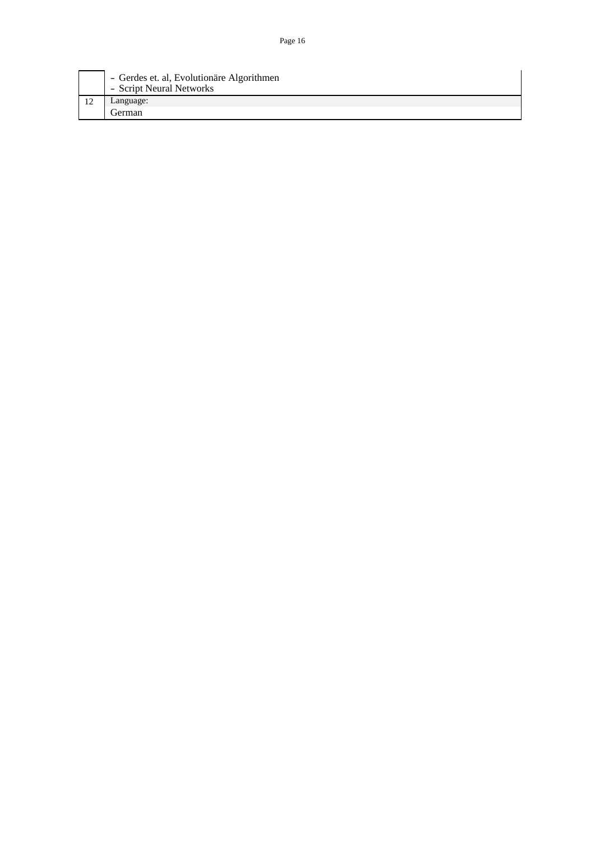| - Gerdes et. al, Evolutionäre Algorithmen<br>- Script Neural Networks |
|-----------------------------------------------------------------------|
| Language:                                                             |
| German                                                                |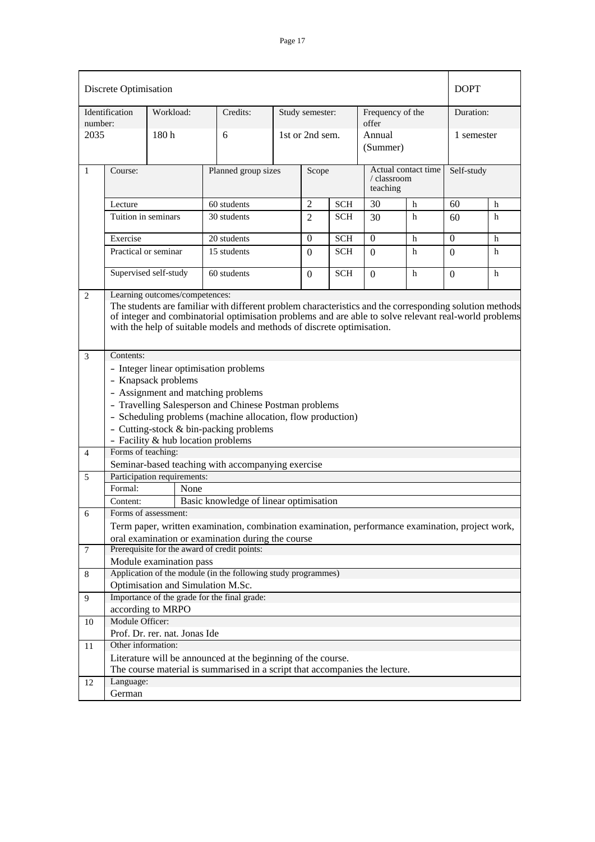|         | Discrete Optimisation          |                                                                                                                                                                                                                                                                                                         |                                                                                                                                                                                                                                                |  |                 |            |                           |                     | <b>DOPT</b>      |   |
|---------|--------------------------------|---------------------------------------------------------------------------------------------------------------------------------------------------------------------------------------------------------------------------------------------------------------------------------------------------------|------------------------------------------------------------------------------------------------------------------------------------------------------------------------------------------------------------------------------------------------|--|-----------------|------------|---------------------------|---------------------|------------------|---|
| number: | Identification                 | Workload:                                                                                                                                                                                                                                                                                               | Credits:                                                                                                                                                                                                                                       |  | Study semester: |            | Frequency of the<br>offer |                     | Duration:        |   |
| 2035    |                                | 180 <sub>h</sub>                                                                                                                                                                                                                                                                                        | 6                                                                                                                                                                                                                                              |  | 1st or 2nd sem. |            | Annual<br>(Summer)        |                     | 1 semester       |   |
| 1       | Course:                        |                                                                                                                                                                                                                                                                                                         | Planned group sizes                                                                                                                                                                                                                            |  | Scope           |            | / classroom<br>teaching   | Actual contact time | Self-study       |   |
|         | Lecture                        |                                                                                                                                                                                                                                                                                                         | 60 students                                                                                                                                                                                                                                    |  | $\mathfrak{2}$  | <b>SCH</b> | 30                        | h                   | 60               | h |
|         | Tuition in seminars            |                                                                                                                                                                                                                                                                                                         | 30 students                                                                                                                                                                                                                                    |  | $\overline{2}$  | SCH        | 30                        | h                   | 60               | h |
|         | Exercise                       |                                                                                                                                                                                                                                                                                                         | 20 students                                                                                                                                                                                                                                    |  | 0               | <b>SCH</b> | $\mathbf{0}$              | h                   | $\mathbf{0}$     | h |
|         | Practical or seminar           |                                                                                                                                                                                                                                                                                                         | 15 students                                                                                                                                                                                                                                    |  | $\Omega$        | <b>SCH</b> | $\Omega$                  | h                   | $\Omega$         | h |
|         |                                | Supervised self-study                                                                                                                                                                                                                                                                                   | 60 students                                                                                                                                                                                                                                    |  | $\mathbf{0}$    | <b>SCH</b> | $\Omega$                  | h                   | $\boldsymbol{0}$ | h |
| 2<br>3  | Learning outcomes/competences: | The students are familiar with different problem characteristics and the corresponding solution methods<br>of integer and combinatorial optimisation problems and are able to solve relevant real-world problems<br>with the help of suitable models and methods of discrete optimisation.<br>Contents: |                                                                                                                                                                                                                                                |  |                 |            |                           |                     |                  |   |
|         |                                | - Knapsack problems<br>- Facility & hub location problems                                                                                                                                                                                                                                               | - Integer linear optimisation problems<br>- Assignment and matching problems<br>- Travelling Salesperson and Chinese Postman problems<br>- Scheduling problems (machine allocation, flow production)<br>- Cutting-stock & bin-packing problems |  |                 |            |                           |                     |                  |   |
| 4       | Forms of teaching:             |                                                                                                                                                                                                                                                                                                         |                                                                                                                                                                                                                                                |  |                 |            |                           |                     |                  |   |
|         |                                |                                                                                                                                                                                                                                                                                                         | Seminar-based teaching with accompanying exercise                                                                                                                                                                                              |  |                 |            |                           |                     |                  |   |
| 5       |                                | Participation requirements:                                                                                                                                                                                                                                                                             |                                                                                                                                                                                                                                                |  |                 |            |                           |                     |                  |   |
|         | Formal:                        | None                                                                                                                                                                                                                                                                                                    |                                                                                                                                                                                                                                                |  |                 |            |                           |                     |                  |   |
| 6       | Content:                       | Forms of assessment:                                                                                                                                                                                                                                                                                    | Basic knowledge of linear optimisation                                                                                                                                                                                                         |  |                 |            |                           |                     |                  |   |
|         |                                |                                                                                                                                                                                                                                                                                                         | Term paper, written examination, combination examination, performance examination, project work,<br>oral examination or examination during the course                                                                                          |  |                 |            |                           |                     |                  |   |
| $\tau$  |                                |                                                                                                                                                                                                                                                                                                         | Prerequisite for the award of credit points:                                                                                                                                                                                                   |  |                 |            |                           |                     |                  |   |
|         |                                | Module examination pass                                                                                                                                                                                                                                                                                 |                                                                                                                                                                                                                                                |  |                 |            |                           |                     |                  |   |
| 8       |                                |                                                                                                                                                                                                                                                                                                         | Application of the module (in the following study programmes)                                                                                                                                                                                  |  |                 |            |                           |                     |                  |   |
|         |                                | Optimisation and Simulation M.Sc.                                                                                                                                                                                                                                                                       |                                                                                                                                                                                                                                                |  |                 |            |                           |                     |                  |   |
| 9       |                                |                                                                                                                                                                                                                                                                                                         | Importance of the grade for the final grade:                                                                                                                                                                                                   |  |                 |            |                           |                     |                  |   |
|         | Module Officer:                | according to MRPO                                                                                                                                                                                                                                                                                       |                                                                                                                                                                                                                                                |  |                 |            |                           |                     |                  |   |
| 10      |                                | Prof. Dr. rer. nat. Jonas Ide                                                                                                                                                                                                                                                                           |                                                                                                                                                                                                                                                |  |                 |            |                           |                     |                  |   |
| 11      | Other information:             |                                                                                                                                                                                                                                                                                                         |                                                                                                                                                                                                                                                |  |                 |            |                           |                     |                  |   |
|         |                                |                                                                                                                                                                                                                                                                                                         | Literature will be announced at the beginning of the course.<br>The course material is summarised in a script that accompanies the lecture.                                                                                                    |  |                 |            |                           |                     |                  |   |
| 12      | Language:                      |                                                                                                                                                                                                                                                                                                         |                                                                                                                                                                                                                                                |  |                 |            |                           |                     |                  |   |
|         | German                         |                                                                                                                                                                                                                                                                                                         |                                                                                                                                                                                                                                                |  |                 |            |                           |                     |                  |   |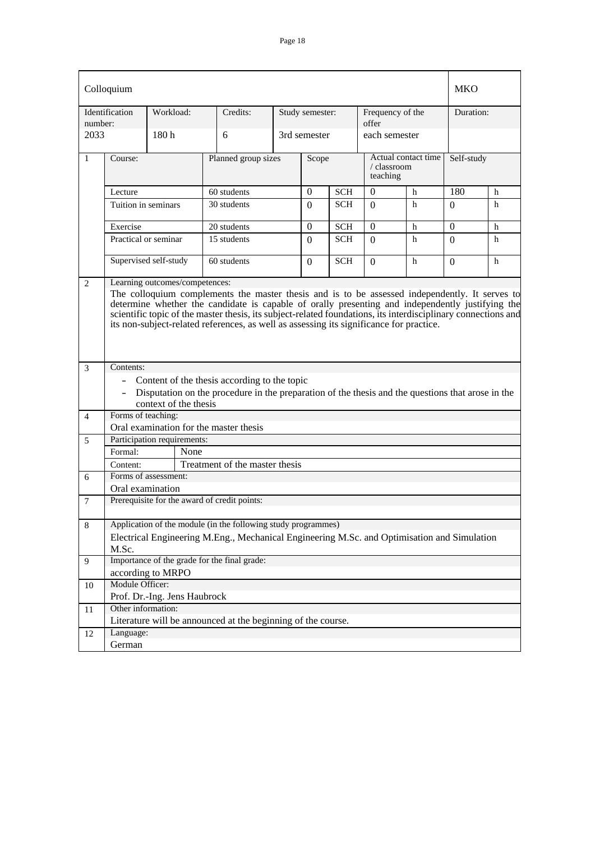|                 | Colloquium                                   |                                                                                                                                                                                                                                                                                                                                                                                                                |                                                                                                   |  |                 |            |                           |                     | <b>MKO</b> |   |  |
|-----------------|----------------------------------------------|----------------------------------------------------------------------------------------------------------------------------------------------------------------------------------------------------------------------------------------------------------------------------------------------------------------------------------------------------------------------------------------------------------------|---------------------------------------------------------------------------------------------------|--|-----------------|------------|---------------------------|---------------------|------------|---|--|
| number:         | Identification                               | Workload:                                                                                                                                                                                                                                                                                                                                                                                                      | Credits:                                                                                          |  | Study semester: |            | Frequency of the<br>offer |                     | Duration:  |   |  |
| 2033            |                                              | 180 h                                                                                                                                                                                                                                                                                                                                                                                                          | 6                                                                                                 |  | 3rd semester    |            | each semester             |                     |            |   |  |
| 1               | Course:                                      |                                                                                                                                                                                                                                                                                                                                                                                                                | Planned group sizes                                                                               |  | Scope           |            | / classroom<br>teaching   | Actual contact time | Self-study |   |  |
|                 | Lecture                                      |                                                                                                                                                                                                                                                                                                                                                                                                                | 60 students                                                                                       |  | $\overline{0}$  | <b>SCH</b> | $\mathbf{0}$              | h                   | 180        | h |  |
|                 | Tuition in seminars                          |                                                                                                                                                                                                                                                                                                                                                                                                                | 30 students                                                                                       |  | $\Omega$        | <b>SCH</b> | $\Omega$                  | h                   | $\Omega$   | h |  |
|                 | Exercise                                     |                                                                                                                                                                                                                                                                                                                                                                                                                | 20 students                                                                                       |  | $\theta$        | <b>SCH</b> | $\Omega$                  | h                   | $\Omega$   | h |  |
|                 | Practical or seminar                         |                                                                                                                                                                                                                                                                                                                                                                                                                | 15 students                                                                                       |  | $\Omega$        | <b>SCH</b> | $\Omega$                  | h                   | $\Omega$   | h |  |
|                 |                                              | Supervised self-study                                                                                                                                                                                                                                                                                                                                                                                          | 60 students                                                                                       |  | $\Omega$        | <b>SCH</b> | $\Omega$                  | h                   | $\Omega$   | h |  |
|                 |                                              | The colloquium complements the master thesis and is to be assessed independently. It serves to<br>determine whether the candidate is capable of orally presenting and independently justifying the<br>scientific topic of the master thesis, its subject-related foundations, its interdisciplinary connections and<br>its non-subject-related references, as well as assessing its significance for practice. |                                                                                                   |  |                 |            |                           |                     |            |   |  |
| 3               | Contents:                                    |                                                                                                                                                                                                                                                                                                                                                                                                                |                                                                                                   |  |                 |            |                           |                     |            |   |  |
|                 |                                              |                                                                                                                                                                                                                                                                                                                                                                                                                | - Content of the thesis according to the topic                                                    |  |                 |            |                           |                     |            |   |  |
|                 | $\sim$ $-$                                   |                                                                                                                                                                                                                                                                                                                                                                                                                | Disputation on the procedure in the preparation of the thesis and the questions that arose in the |  |                 |            |                           |                     |            |   |  |
|                 |                                              | context of the thesis                                                                                                                                                                                                                                                                                                                                                                                          |                                                                                                   |  |                 |            |                           |                     |            |   |  |
| $\overline{4}$  | Forms of teaching:                           |                                                                                                                                                                                                                                                                                                                                                                                                                |                                                                                                   |  |                 |            |                           |                     |            |   |  |
|                 |                                              |                                                                                                                                                                                                                                                                                                                                                                                                                | Oral examination for the master thesis                                                            |  |                 |            |                           |                     |            |   |  |
| 5               | Formal:                                      | Participation requirements:<br>None                                                                                                                                                                                                                                                                                                                                                                            |                                                                                                   |  |                 |            |                           |                     |            |   |  |
|                 | Content:                                     |                                                                                                                                                                                                                                                                                                                                                                                                                | Treatment of the master thesis                                                                    |  |                 |            |                           |                     |            |   |  |
| 6               |                                              | Forms of assessment:                                                                                                                                                                                                                                                                                                                                                                                           |                                                                                                   |  |                 |            |                           |                     |            |   |  |
|                 | Oral examination                             |                                                                                                                                                                                                                                                                                                                                                                                                                |                                                                                                   |  |                 |            |                           |                     |            |   |  |
| $7\phantom{.0}$ |                                              |                                                                                                                                                                                                                                                                                                                                                                                                                | Prerequisite for the award of credit points:                                                      |  |                 |            |                           |                     |            |   |  |
| $\,8\,$         |                                              |                                                                                                                                                                                                                                                                                                                                                                                                                | Application of the module (in the following study programmes)                                     |  |                 |            |                           |                     |            |   |  |
|                 |                                              |                                                                                                                                                                                                                                                                                                                                                                                                                | Electrical Engineering M.Eng., Mechanical Engineering M.Sc. and Optimisation and Simulation       |  |                 |            |                           |                     |            |   |  |
|                 | M.Sc.                                        |                                                                                                                                                                                                                                                                                                                                                                                                                |                                                                                                   |  |                 |            |                           |                     |            |   |  |
| 9               | Importance of the grade for the final grade: |                                                                                                                                                                                                                                                                                                                                                                                                                |                                                                                                   |  |                 |            |                           |                     |            |   |  |
|                 |                                              | according to MRPO                                                                                                                                                                                                                                                                                                                                                                                              |                                                                                                   |  |                 |            |                           |                     |            |   |  |
| 10              | Module Officer:                              |                                                                                                                                                                                                                                                                                                                                                                                                                |                                                                                                   |  |                 |            |                           |                     |            |   |  |
|                 |                                              | Prof. Dr.-Ing. Jens Haubrock                                                                                                                                                                                                                                                                                                                                                                                   |                                                                                                   |  |                 |            |                           |                     |            |   |  |
| 11              | Other information:                           |                                                                                                                                                                                                                                                                                                                                                                                                                |                                                                                                   |  |                 |            |                           |                     |            |   |  |
| 12              | Language:                                    |                                                                                                                                                                                                                                                                                                                                                                                                                | Literature will be announced at the beginning of the course.                                      |  |                 |            |                           |                     |            |   |  |
|                 | German                                       |                                                                                                                                                                                                                                                                                                                                                                                                                |                                                                                                   |  |                 |            |                           |                     |            |   |  |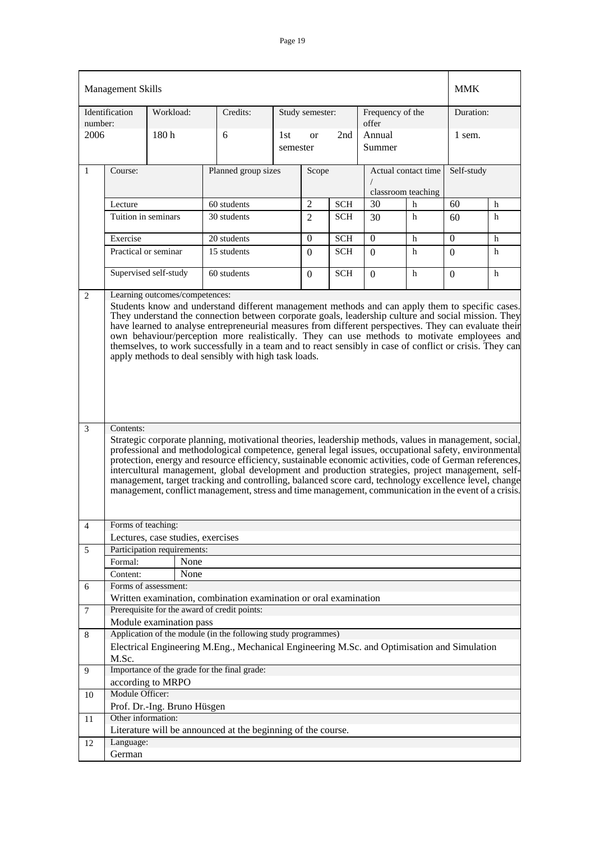|                                                                                                                                                                                                                                                                                                                                                                                                                                                                                                                                                                                                                                                                                                                                                                                                                                                                                                                                |                                                                     |                                                                                                                                                                                      |                                                                                                                                                                                                                                                                           |                                                                     |                                                          |                                                                                                                                                                                            |                                                                                                   | <b>MMK</b>                                                                   |                                                                                                                                                                                                                                                                                                                                                                                                                                         |
|--------------------------------------------------------------------------------------------------------------------------------------------------------------------------------------------------------------------------------------------------------------------------------------------------------------------------------------------------------------------------------------------------------------------------------------------------------------------------------------------------------------------------------------------------------------------------------------------------------------------------------------------------------------------------------------------------------------------------------------------------------------------------------------------------------------------------------------------------------------------------------------------------------------------------------|---------------------------------------------------------------------|--------------------------------------------------------------------------------------------------------------------------------------------------------------------------------------|---------------------------------------------------------------------------------------------------------------------------------------------------------------------------------------------------------------------------------------------------------------------------|---------------------------------------------------------------------|----------------------------------------------------------|--------------------------------------------------------------------------------------------------------------------------------------------------------------------------------------------|---------------------------------------------------------------------------------------------------|------------------------------------------------------------------------------|-----------------------------------------------------------------------------------------------------------------------------------------------------------------------------------------------------------------------------------------------------------------------------------------------------------------------------------------------------------------------------------------------------------------------------------------|
|                                                                                                                                                                                                                                                                                                                                                                                                                                                                                                                                                                                                                                                                                                                                                                                                                                                                                                                                | Workload:                                                           | Credits:                                                                                                                                                                             |                                                                                                                                                                                                                                                                           |                                                                     |                                                          |                                                                                                                                                                                            |                                                                                                   | Duration:                                                                    |                                                                                                                                                                                                                                                                                                                                                                                                                                         |
|                                                                                                                                                                                                                                                                                                                                                                                                                                                                                                                                                                                                                                                                                                                                                                                                                                                                                                                                | 180h                                                                | 6                                                                                                                                                                                    | 1st                                                                                                                                                                                                                                                                       | <b>or</b>                                                           | 2nd                                                      | Annual<br>Summer                                                                                                                                                                           |                                                                                                   | 1 sem.                                                                       |                                                                                                                                                                                                                                                                                                                                                                                                                                         |
| Course:                                                                                                                                                                                                                                                                                                                                                                                                                                                                                                                                                                                                                                                                                                                                                                                                                                                                                                                        |                                                                     |                                                                                                                                                                                      | Scope                                                                                                                                                                                                                                                                     |                                                                     |                                                          |                                                                                                                                                                                            |                                                                                                   | Self-study                                                                   |                                                                                                                                                                                                                                                                                                                                                                                                                                         |
|                                                                                                                                                                                                                                                                                                                                                                                                                                                                                                                                                                                                                                                                                                                                                                                                                                                                                                                                |                                                                     |                                                                                                                                                                                      |                                                                                                                                                                                                                                                                           |                                                                     |                                                          |                                                                                                                                                                                            |                                                                                                   |                                                                              |                                                                                                                                                                                                                                                                                                                                                                                                                                         |
|                                                                                                                                                                                                                                                                                                                                                                                                                                                                                                                                                                                                                                                                                                                                                                                                                                                                                                                                |                                                                     |                                                                                                                                                                                      |                                                                                                                                                                                                                                                                           |                                                                     |                                                          |                                                                                                                                                                                            |                                                                                                   |                                                                              | h                                                                                                                                                                                                                                                                                                                                                                                                                                       |
|                                                                                                                                                                                                                                                                                                                                                                                                                                                                                                                                                                                                                                                                                                                                                                                                                                                                                                                                |                                                                     |                                                                                                                                                                                      |                                                                                                                                                                                                                                                                           |                                                                     |                                                          |                                                                                                                                                                                            |                                                                                                   |                                                                              | h                                                                                                                                                                                                                                                                                                                                                                                                                                       |
| $\overline{0}$<br>Exercise<br>$\Omega$<br>$\Omega$<br><b>SCH</b><br>h<br>20 students                                                                                                                                                                                                                                                                                                                                                                                                                                                                                                                                                                                                                                                                                                                                                                                                                                           |                                                                     |                                                                                                                                                                                      |                                                                                                                                                                                                                                                                           |                                                                     |                                                          |                                                                                                                                                                                            |                                                                                                   | h                                                                            |                                                                                                                                                                                                                                                                                                                                                                                                                                         |
| 15 students<br>Practical or seminar<br><b>SCH</b><br>h<br>$\Omega$<br>$\Omega$<br>$\Omega$                                                                                                                                                                                                                                                                                                                                                                                                                                                                                                                                                                                                                                                                                                                                                                                                                                     |                                                                     |                                                                                                                                                                                      |                                                                                                                                                                                                                                                                           |                                                                     |                                                          |                                                                                                                                                                                            |                                                                                                   | h                                                                            |                                                                                                                                                                                                                                                                                                                                                                                                                                         |
|                                                                                                                                                                                                                                                                                                                                                                                                                                                                                                                                                                                                                                                                                                                                                                                                                                                                                                                                |                                                                     |                                                                                                                                                                                      |                                                                                                                                                                                                                                                                           |                                                                     |                                                          |                                                                                                                                                                                            | h                                                                                                 |                                                                              |                                                                                                                                                                                                                                                                                                                                                                                                                                         |
|                                                                                                                                                                                                                                                                                                                                                                                                                                                                                                                                                                                                                                                                                                                                                                                                                                                                                                                                |                                                                     |                                                                                                                                                                                      |                                                                                                                                                                                                                                                                           |                                                                     |                                                          |                                                                                                                                                                                            |                                                                                                   |                                                                              |                                                                                                                                                                                                                                                                                                                                                                                                                                         |
| They understand the connection between corporate goals, leadership culture and social mission. They<br>have learned to analyse entrepreneurial measures from different perspectives. They can evaluate their<br>own behaviour/perception more realistically. They can use methods to motivate employees and<br>themselves, to work successfully in a team and to react sensibly in case of conflict or crisis. They can<br>apply methods to deal sensibly with high task loads.<br>Contents:<br>Strategic corporate planning, motivational theories, leadership methods, values in management, social,<br>professional and methodological competence, general legal issues, occupational safety, environmental<br>protection, energy and resource efficiency, sustainable economic activities, code of German references,<br>intercultural management, global development and production strategies, project management, self- |                                                                     |                                                                                                                                                                                      |                                                                                                                                                                                                                                                                           |                                                                     |                                                          |                                                                                                                                                                                            |                                                                                                   |                                                                              |                                                                                                                                                                                                                                                                                                                                                                                                                                         |
|                                                                                                                                                                                                                                                                                                                                                                                                                                                                                                                                                                                                                                                                                                                                                                                                                                                                                                                                |                                                                     |                                                                                                                                                                                      |                                                                                                                                                                                                                                                                           |                                                                     |                                                          |                                                                                                                                                                                            |                                                                                                   |                                                                              |                                                                                                                                                                                                                                                                                                                                                                                                                                         |
|                                                                                                                                                                                                                                                                                                                                                                                                                                                                                                                                                                                                                                                                                                                                                                                                                                                                                                                                |                                                                     |                                                                                                                                                                                      |                                                                                                                                                                                                                                                                           |                                                                     |                                                          |                                                                                                                                                                                            |                                                                                                   |                                                                              |                                                                                                                                                                                                                                                                                                                                                                                                                                         |
|                                                                                                                                                                                                                                                                                                                                                                                                                                                                                                                                                                                                                                                                                                                                                                                                                                                                                                                                |                                                                     |                                                                                                                                                                                      |                                                                                                                                                                                                                                                                           |                                                                     |                                                          |                                                                                                                                                                                            |                                                                                                   |                                                                              |                                                                                                                                                                                                                                                                                                                                                                                                                                         |
|                                                                                                                                                                                                                                                                                                                                                                                                                                                                                                                                                                                                                                                                                                                                                                                                                                                                                                                                |                                                                     |                                                                                                                                                                                      |                                                                                                                                                                                                                                                                           |                                                                     |                                                          |                                                                                                                                                                                            |                                                                                                   |                                                                              |                                                                                                                                                                                                                                                                                                                                                                                                                                         |
|                                                                                                                                                                                                                                                                                                                                                                                                                                                                                                                                                                                                                                                                                                                                                                                                                                                                                                                                |                                                                     |                                                                                                                                                                                      |                                                                                                                                                                                                                                                                           |                                                                     |                                                          |                                                                                                                                                                                            |                                                                                                   |                                                                              |                                                                                                                                                                                                                                                                                                                                                                                                                                         |
|                                                                                                                                                                                                                                                                                                                                                                                                                                                                                                                                                                                                                                                                                                                                                                                                                                                                                                                                |                                                                     |                                                                                                                                                                                      |                                                                                                                                                                                                                                                                           |                                                                     |                                                          |                                                                                                                                                                                            |                                                                                                   |                                                                              |                                                                                                                                                                                                                                                                                                                                                                                                                                         |
|                                                                                                                                                                                                                                                                                                                                                                                                                                                                                                                                                                                                                                                                                                                                                                                                                                                                                                                                |                                                                     |                                                                                                                                                                                      |                                                                                                                                                                                                                                                                           |                                                                     |                                                          |                                                                                                                                                                                            |                                                                                                   |                                                                              |                                                                                                                                                                                                                                                                                                                                                                                                                                         |
|                                                                                                                                                                                                                                                                                                                                                                                                                                                                                                                                                                                                                                                                                                                                                                                                                                                                                                                                |                                                                     |                                                                                                                                                                                      |                                                                                                                                                                                                                                                                           |                                                                     |                                                          |                                                                                                                                                                                            |                                                                                                   |                                                                              |                                                                                                                                                                                                                                                                                                                                                                                                                                         |
|                                                                                                                                                                                                                                                                                                                                                                                                                                                                                                                                                                                                                                                                                                                                                                                                                                                                                                                                |                                                                     |                                                                                                                                                                                      |                                                                                                                                                                                                                                                                           |                                                                     |                                                          |                                                                                                                                                                                            |                                                                                                   |                                                                              |                                                                                                                                                                                                                                                                                                                                                                                                                                         |
|                                                                                                                                                                                                                                                                                                                                                                                                                                                                                                                                                                                                                                                                                                                                                                                                                                                                                                                                |                                                                     |                                                                                                                                                                                      |                                                                                                                                                                                                                                                                           |                                                                     |                                                          |                                                                                                                                                                                            |                                                                                                   |                                                                              |                                                                                                                                                                                                                                                                                                                                                                                                                                         |
|                                                                                                                                                                                                                                                                                                                                                                                                                                                                                                                                                                                                                                                                                                                                                                                                                                                                                                                                |                                                                     |                                                                                                                                                                                      |                                                                                                                                                                                                                                                                           |                                                                     |                                                          |                                                                                                                                                                                            |                                                                                                   |                                                                              |                                                                                                                                                                                                                                                                                                                                                                                                                                         |
| M.Sc.                                                                                                                                                                                                                                                                                                                                                                                                                                                                                                                                                                                                                                                                                                                                                                                                                                                                                                                          |                                                                     |                                                                                                                                                                                      |                                                                                                                                                                                                                                                                           |                                                                     |                                                          |                                                                                                                                                                                            |                                                                                                   |                                                                              |                                                                                                                                                                                                                                                                                                                                                                                                                                         |
|                                                                                                                                                                                                                                                                                                                                                                                                                                                                                                                                                                                                                                                                                                                                                                                                                                                                                                                                |                                                                     |                                                                                                                                                                                      |                                                                                                                                                                                                                                                                           |                                                                     |                                                          |                                                                                                                                                                                            |                                                                                                   |                                                                              |                                                                                                                                                                                                                                                                                                                                                                                                                                         |
|                                                                                                                                                                                                                                                                                                                                                                                                                                                                                                                                                                                                                                                                                                                                                                                                                                                                                                                                |                                                                     |                                                                                                                                                                                      |                                                                                                                                                                                                                                                                           |                                                                     |                                                          |                                                                                                                                                                                            |                                                                                                   |                                                                              |                                                                                                                                                                                                                                                                                                                                                                                                                                         |
|                                                                                                                                                                                                                                                                                                                                                                                                                                                                                                                                                                                                                                                                                                                                                                                                                                                                                                                                |                                                                     |                                                                                                                                                                                      |                                                                                                                                                                                                                                                                           |                                                                     |                                                          |                                                                                                                                                                                            |                                                                                                   |                                                                              |                                                                                                                                                                                                                                                                                                                                                                                                                                         |
|                                                                                                                                                                                                                                                                                                                                                                                                                                                                                                                                                                                                                                                                                                                                                                                                                                                                                                                                |                                                                     |                                                                                                                                                                                      |                                                                                                                                                                                                                                                                           |                                                                     |                                                          |                                                                                                                                                                                            |                                                                                                   |                                                                              |                                                                                                                                                                                                                                                                                                                                                                                                                                         |
|                                                                                                                                                                                                                                                                                                                                                                                                                                                                                                                                                                                                                                                                                                                                                                                                                                                                                                                                |                                                                     |                                                                                                                                                                                      |                                                                                                                                                                                                                                                                           |                                                                     |                                                          |                                                                                                                                                                                            |                                                                                                   |                                                                              |                                                                                                                                                                                                                                                                                                                                                                                                                                         |
|                                                                                                                                                                                                                                                                                                                                                                                                                                                                                                                                                                                                                                                                                                                                                                                                                                                                                                                                |                                                                     |                                                                                                                                                                                      |                                                                                                                                                                                                                                                                           |                                                                     |                                                          |                                                                                                                                                                                            |                                                                                                   |                                                                              |                                                                                                                                                                                                                                                                                                                                                                                                                                         |
| Language:                                                                                                                                                                                                                                                                                                                                                                                                                                                                                                                                                                                                                                                                                                                                                                                                                                                                                                                      |                                                                     |                                                                                                                                                                                      |                                                                                                                                                                                                                                                                           |                                                                     |                                                          |                                                                                                                                                                                            |                                                                                                   |                                                                              |                                                                                                                                                                                                                                                                                                                                                                                                                                         |
|                                                                                                                                                                                                                                                                                                                                                                                                                                                                                                                                                                                                                                                                                                                                                                                                                                                                                                                                | Identification<br>number:<br>2006<br>Lecture<br>Formal:<br>Content: | <b>Management Skills</b><br>Tuition in seminars<br>Supervised self-study<br>Forms of teaching:<br>Forms of assessment:<br>according to MRPO<br>Module Officer:<br>Other information: | 60 students<br>30 students<br>60 students<br>Learning outcomes/competences:<br>Lectures, case studies, exercises<br>Participation requirements:<br>None<br>None<br>Prerequisite for the award of credit points:<br>Module examination pass<br>Prof. Dr.-Ing. Bruno Hüsgen | Planned group sizes<br>Importance of the grade for the final grade: | semester<br>$\overline{2}$<br>$\overline{2}$<br>$\Omega$ | Study semester:<br><b>SCH</b><br><b>SCH</b><br><b>SCH</b><br>Application of the module (in the following study programmes)<br>Literature will be announced at the beginning of the course. | offer<br>30<br>30<br>$\Omega$<br>Written examination, combination examination or oral examination | Frequency of the<br>Actual contact time<br>classroom teaching<br>h<br>h<br>h | 60<br>60<br>$\Omega$<br>Students know and understand different management methods and can apply them to specific cases.<br>management, target tracking and controlling, balanced score card, technology excellence level, change<br>management, conflict management, stress and time management, communication in the event of a crisis.<br>Electrical Engineering M.Eng., Mechanical Engineering M.Sc. and Optimisation and Simulation |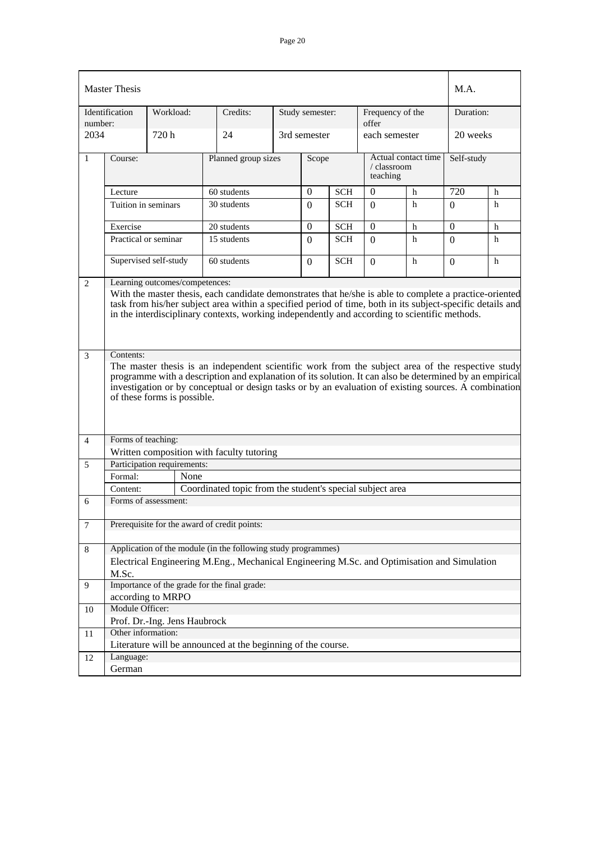|                | <b>Master Thesis</b>                                                                                                                                                                                                                                                                                                                                                  |                                                                                            |      |                                                                                                                                                                                                                                                                                                                       |  |                 |            |                           |                     | M.A.       |   |  |
|----------------|-----------------------------------------------------------------------------------------------------------------------------------------------------------------------------------------------------------------------------------------------------------------------------------------------------------------------------------------------------------------------|--------------------------------------------------------------------------------------------|------|-----------------------------------------------------------------------------------------------------------------------------------------------------------------------------------------------------------------------------------------------------------------------------------------------------------------------|--|-----------------|------------|---------------------------|---------------------|------------|---|--|
| number:        | Identification                                                                                                                                                                                                                                                                                                                                                        | Workload:                                                                                  |      | Credits:                                                                                                                                                                                                                                                                                                              |  | Study semester: |            | Frequency of the<br>offer |                     | Duration:  |   |  |
| 2034           |                                                                                                                                                                                                                                                                                                                                                                       | 720 h                                                                                      |      | 24                                                                                                                                                                                                                                                                                                                    |  | 3rd semester    |            | each semester             |                     | 20 weeks   |   |  |
| 1              | Course:                                                                                                                                                                                                                                                                                                                                                               |                                                                                            |      | Planned group sizes                                                                                                                                                                                                                                                                                                   |  | Scope           |            | / classroom<br>teaching   | Actual contact time | Self-study |   |  |
|                | Lecture                                                                                                                                                                                                                                                                                                                                                               |                                                                                            |      | 60 students                                                                                                                                                                                                                                                                                                           |  | 0               | <b>SCH</b> | $\mathbf{0}$              | h                   | 720        | h |  |
|                | Tuition in seminars                                                                                                                                                                                                                                                                                                                                                   |                                                                                            |      | 30 students                                                                                                                                                                                                                                                                                                           |  | $\Omega$        | <b>SCH</b> | $\Omega$                  | h                   | $\Omega$   | h |  |
|                | $\Omega$<br>Exercise<br>$\Omega$<br><b>SCH</b><br>$\Omega$<br>20 students<br>h<br>h                                                                                                                                                                                                                                                                                   |                                                                                            |      |                                                                                                                                                                                                                                                                                                                       |  |                 |            |                           |                     |            |   |  |
|                |                                                                                                                                                                                                                                                                                                                                                                       | Practical or seminar<br>15 students<br><b>SCH</b><br>h<br>$\Omega$<br>$\Omega$<br>$\Omega$ |      |                                                                                                                                                                                                                                                                                                                       |  |                 |            |                           | h                   |            |   |  |
|                |                                                                                                                                                                                                                                                                                                                                                                       | Supervised self-study                                                                      |      | 60 students                                                                                                                                                                                                                                                                                                           |  | $\Omega$        | <b>SCH</b> | $\Omega$                  | h                   | $\Omega$   | h |  |
| 2<br>3         | Learning outcomes/competences:<br>With the master thesis, each candidate demonstrates that he/she is able to complete a practice-oriented<br>task from his/her subject area within a specified period of time, both in its subject-specific details and<br>in the interdisciplinary contexts, working independently and according to scientific methods.<br>Contents: |                                                                                            |      |                                                                                                                                                                                                                                                                                                                       |  |                 |            |                           |                     |            |   |  |
|                |                                                                                                                                                                                                                                                                                                                                                                       | of these forms is possible.                                                                |      | The master thesis is an independent scientific work from the subject area of the respective study<br>programme with a description and explanation of its solution. It can also be determined by an empirical<br>investigation or by conceptual or design tasks or by an evaluation of existing sources. A combination |  |                 |            |                           |                     |            |   |  |
| $\overline{4}$ | Forms of teaching:                                                                                                                                                                                                                                                                                                                                                    |                                                                                            |      |                                                                                                                                                                                                                                                                                                                       |  |                 |            |                           |                     |            |   |  |
|                |                                                                                                                                                                                                                                                                                                                                                                       |                                                                                            |      | Written composition with faculty tutoring                                                                                                                                                                                                                                                                             |  |                 |            |                           |                     |            |   |  |
| 5              |                                                                                                                                                                                                                                                                                                                                                                       | Participation requirements:                                                                |      |                                                                                                                                                                                                                                                                                                                       |  |                 |            |                           |                     |            |   |  |
|                | Formal:                                                                                                                                                                                                                                                                                                                                                               |                                                                                            | None |                                                                                                                                                                                                                                                                                                                       |  |                 |            |                           |                     |            |   |  |
|                | Content:                                                                                                                                                                                                                                                                                                                                                              |                                                                                            |      | Coordinated topic from the student's special subject area                                                                                                                                                                                                                                                             |  |                 |            |                           |                     |            |   |  |
| 6              |                                                                                                                                                                                                                                                                                                                                                                       | Forms of assessment:                                                                       |      |                                                                                                                                                                                                                                                                                                                       |  |                 |            |                           |                     |            |   |  |
| $\overline{7}$ |                                                                                                                                                                                                                                                                                                                                                                       |                                                                                            |      | Prerequisite for the award of credit points:                                                                                                                                                                                                                                                                          |  |                 |            |                           |                     |            |   |  |
| 8              |                                                                                                                                                                                                                                                                                                                                                                       |                                                                                            |      | Application of the module (in the following study programmes)                                                                                                                                                                                                                                                         |  |                 |            |                           |                     |            |   |  |
|                | M.Sc.                                                                                                                                                                                                                                                                                                                                                                 |                                                                                            |      | Electrical Engineering M.Eng., Mechanical Engineering M.Sc. and Optimisation and Simulation                                                                                                                                                                                                                           |  |                 |            |                           |                     |            |   |  |
| 9              |                                                                                                                                                                                                                                                                                                                                                                       |                                                                                            |      | Importance of the grade for the final grade:                                                                                                                                                                                                                                                                          |  |                 |            |                           |                     |            |   |  |
|                |                                                                                                                                                                                                                                                                                                                                                                       | according to MRPO                                                                          |      |                                                                                                                                                                                                                                                                                                                       |  |                 |            |                           |                     |            |   |  |
| 10             | Module Officer:                                                                                                                                                                                                                                                                                                                                                       |                                                                                            |      |                                                                                                                                                                                                                                                                                                                       |  |                 |            |                           |                     |            |   |  |
| 11             | Other information:                                                                                                                                                                                                                                                                                                                                                    | Prof. Dr.-Ing. Jens Haubrock                                                               |      |                                                                                                                                                                                                                                                                                                                       |  |                 |            |                           |                     |            |   |  |
|                |                                                                                                                                                                                                                                                                                                                                                                       |                                                                                            |      | Literature will be announced at the beginning of the course.                                                                                                                                                                                                                                                          |  |                 |            |                           |                     |            |   |  |
| 12             | Language:                                                                                                                                                                                                                                                                                                                                                             |                                                                                            |      |                                                                                                                                                                                                                                                                                                                       |  |                 |            |                           |                     |            |   |  |
|                | German                                                                                                                                                                                                                                                                                                                                                                |                                                                                            |      |                                                                                                                                                                                                                                                                                                                       |  |                 |            |                           |                     |            |   |  |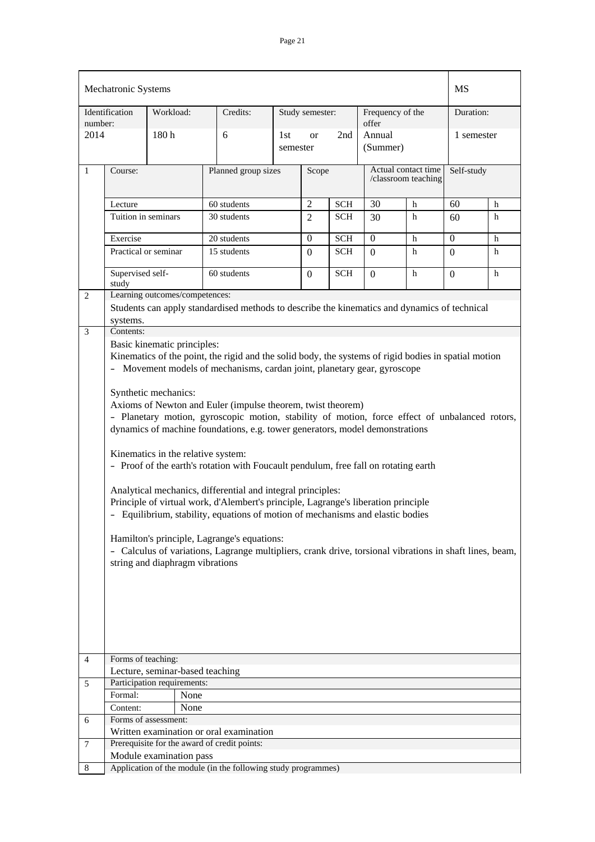|                | Mechatronic Systems                                                                                                                                                                                                                                                                                                                                                                                                                                                                                                                                                                                                                                                                                                                                                                                                                                                                                                                                                                                                                                               |                                                                |                                                                                              |     |                       |            |                           |                                            | MS               |   |
|----------------|-------------------------------------------------------------------------------------------------------------------------------------------------------------------------------------------------------------------------------------------------------------------------------------------------------------------------------------------------------------------------------------------------------------------------------------------------------------------------------------------------------------------------------------------------------------------------------------------------------------------------------------------------------------------------------------------------------------------------------------------------------------------------------------------------------------------------------------------------------------------------------------------------------------------------------------------------------------------------------------------------------------------------------------------------------------------|----------------------------------------------------------------|----------------------------------------------------------------------------------------------|-----|-----------------------|------------|---------------------------|--------------------------------------------|------------------|---|
| number:        | Identification                                                                                                                                                                                                                                                                                                                                                                                                                                                                                                                                                                                                                                                                                                                                                                                                                                                                                                                                                                                                                                                    | Workload:                                                      | Credits:                                                                                     |     | Study semester:       |            | Frequency of the<br>offer |                                            | Duration:        |   |
| 2014           |                                                                                                                                                                                                                                                                                                                                                                                                                                                                                                                                                                                                                                                                                                                                                                                                                                                                                                                                                                                                                                                                   | 180h                                                           | 6                                                                                            | 1st | <b>or</b><br>semester | 2nd        | Annual<br>(Summer)        |                                            | 1 semester       |   |
| $\mathbf{1}$   | Course:                                                                                                                                                                                                                                                                                                                                                                                                                                                                                                                                                                                                                                                                                                                                                                                                                                                                                                                                                                                                                                                           |                                                                | Planned group sizes                                                                          |     | Scope                 |            |                           | Actual contact time<br>/classroom teaching | Self-study       |   |
|                | Lecture                                                                                                                                                                                                                                                                                                                                                                                                                                                                                                                                                                                                                                                                                                                                                                                                                                                                                                                                                                                                                                                           |                                                                | 60 students                                                                                  |     | $\overline{2}$        | <b>SCH</b> | 30                        | h                                          | 60               | h |
|                | Tuition in seminars                                                                                                                                                                                                                                                                                                                                                                                                                                                                                                                                                                                                                                                                                                                                                                                                                                                                                                                                                                                                                                               |                                                                | 30 students                                                                                  |     | $\overline{2}$        | <b>SCH</b> | 30                        | h                                          | 60               | h |
|                | Exercise                                                                                                                                                                                                                                                                                                                                                                                                                                                                                                                                                                                                                                                                                                                                                                                                                                                                                                                                                                                                                                                          |                                                                | 20 students                                                                                  |     | $\overline{0}$        | <b>SCH</b> | $\boldsymbol{0}$          | h                                          | $\boldsymbol{0}$ | h |
|                | Practical or seminar                                                                                                                                                                                                                                                                                                                                                                                                                                                                                                                                                                                                                                                                                                                                                                                                                                                                                                                                                                                                                                              |                                                                | 15 students                                                                                  |     | $\Omega$              | <b>SCH</b> | $\Omega$                  | h                                          | $\Omega$         | h |
|                | Supervised self-                                                                                                                                                                                                                                                                                                                                                                                                                                                                                                                                                                                                                                                                                                                                                                                                                                                                                                                                                                                                                                                  |                                                                | 60 students                                                                                  |     | $\overline{0}$        | <b>SCH</b> | $\mathbf{0}$              | h                                          | $\mathbf{0}$     | h |
|                | study                                                                                                                                                                                                                                                                                                                                                                                                                                                                                                                                                                                                                                                                                                                                                                                                                                                                                                                                                                                                                                                             |                                                                |                                                                                              |     |                       |            |                           |                                            |                  |   |
| $\overline{2}$ |                                                                                                                                                                                                                                                                                                                                                                                                                                                                                                                                                                                                                                                                                                                                                                                                                                                                                                                                                                                                                                                                   | Learning outcomes/competences:                                 |                                                                                              |     |                       |            |                           |                                            |                  |   |
|                |                                                                                                                                                                                                                                                                                                                                                                                                                                                                                                                                                                                                                                                                                                                                                                                                                                                                                                                                                                                                                                                                   |                                                                | Students can apply standardised methods to describe the kinematics and dynamics of technical |     |                       |            |                           |                                            |                  |   |
| 3              | systems.<br>Contents:                                                                                                                                                                                                                                                                                                                                                                                                                                                                                                                                                                                                                                                                                                                                                                                                                                                                                                                                                                                                                                             |                                                                |                                                                                              |     |                       |            |                           |                                            |                  |   |
|                | Basic kinematic principles:<br>Kinematics of the point, the rigid and the solid body, the systems of rigid bodies in spatial motion<br>Movement models of mechanisms, cardan joint, planetary gear, gyroscope<br>$\sim$<br>Synthetic mechanics:<br>Axioms of Newton and Euler (impulse theorem, twist theorem)<br>- Planetary motion, gyroscopic motion, stability of motion, force effect of unbalanced rotors,<br>dynamics of machine foundations, e.g. tower generators, model demonstrations<br>Kinematics in the relative system:<br>- Proof of the earth's rotation with Foucault pendulum, free fall on rotating earth<br>Analytical mechanics, differential and integral principles:<br>Principle of virtual work, d'Alembert's principle, Lagrange's liberation principle<br>- Equilibrium, stability, equations of motion of mechanisms and elastic bodies<br>Hamilton's principle, Lagrange's equations:<br>- Calculus of variations, Lagrange multipliers, crank drive, torsional vibrations in shaft lines, beam,<br>string and diaphragm vibrations |                                                                |                                                                                              |     |                       |            |                           |                                            |                  |   |
| $\overline{4}$ | Forms of teaching:                                                                                                                                                                                                                                                                                                                                                                                                                                                                                                                                                                                                                                                                                                                                                                                                                                                                                                                                                                                                                                                |                                                                |                                                                                              |     |                       |            |                           |                                            |                  |   |
| 5              |                                                                                                                                                                                                                                                                                                                                                                                                                                                                                                                                                                                                                                                                                                                                                                                                                                                                                                                                                                                                                                                                   | Lecture, seminar-based teaching<br>Participation requirements: |                                                                                              |     |                       |            |                           |                                            |                  |   |
|                | Formal:                                                                                                                                                                                                                                                                                                                                                                                                                                                                                                                                                                                                                                                                                                                                                                                                                                                                                                                                                                                                                                                           | None                                                           |                                                                                              |     |                       |            |                           |                                            |                  |   |
|                | Content:                                                                                                                                                                                                                                                                                                                                                                                                                                                                                                                                                                                                                                                                                                                                                                                                                                                                                                                                                                                                                                                          | None                                                           |                                                                                              |     |                       |            |                           |                                            |                  |   |
| 6              |                                                                                                                                                                                                                                                                                                                                                                                                                                                                                                                                                                                                                                                                                                                                                                                                                                                                                                                                                                                                                                                                   | Forms of assessment:                                           |                                                                                              |     |                       |            |                           |                                            |                  |   |
|                |                                                                                                                                                                                                                                                                                                                                                                                                                                                                                                                                                                                                                                                                                                                                                                                                                                                                                                                                                                                                                                                                   |                                                                | Written examination or oral examination                                                      |     |                       |            |                           |                                            |                  |   |
| 7              |                                                                                                                                                                                                                                                                                                                                                                                                                                                                                                                                                                                                                                                                                                                                                                                                                                                                                                                                                                                                                                                                   |                                                                | Prerequisite for the award of credit points:                                                 |     |                       |            |                           |                                            |                  |   |
|                |                                                                                                                                                                                                                                                                                                                                                                                                                                                                                                                                                                                                                                                                                                                                                                                                                                                                                                                                                                                                                                                                   | Module examination pass                                        | Application of the module (in the following study programmes)                                |     |                       |            |                           |                                            |                  |   |
| 8              |                                                                                                                                                                                                                                                                                                                                                                                                                                                                                                                                                                                                                                                                                                                                                                                                                                                                                                                                                                                                                                                                   |                                                                |                                                                                              |     |                       |            |                           |                                            |                  |   |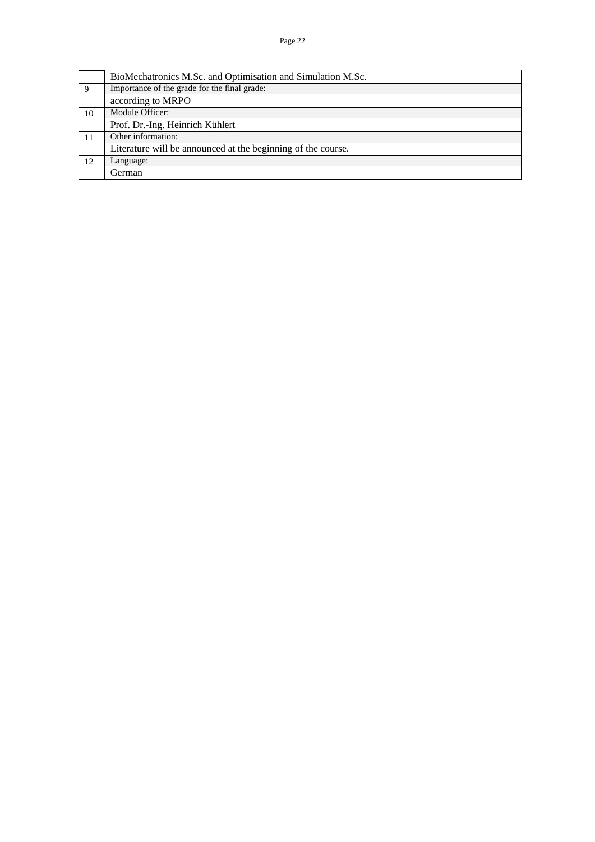Page 22

|    | BioMechatronics M.Sc. and Optimisation and Simulation M.Sc.  |
|----|--------------------------------------------------------------|
| 9  | Importance of the grade for the final grade:                 |
|    | according to MRPO                                            |
| 10 | Module Officer:                                              |
|    | Prof. Dr.-Ing. Heinrich Kühlert                              |
|    | Other information:                                           |
|    | Literature will be announced at the beginning of the course. |
| 12 | Language:                                                    |
|    | <b>German</b>                                                |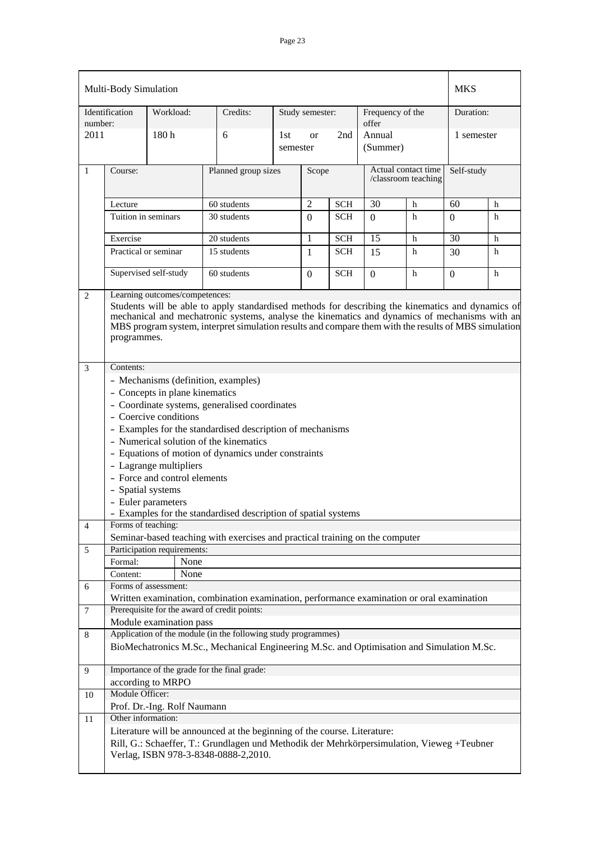| Multi-Body Simulation |                                                                                                                                                                                                                                                                                                                           | <b>MKS</b>                           |                                                                                                                                                                        |                 |                 |            |                                            |   |                  |   |
|-----------------------|---------------------------------------------------------------------------------------------------------------------------------------------------------------------------------------------------------------------------------------------------------------------------------------------------------------------------|--------------------------------------|------------------------------------------------------------------------------------------------------------------------------------------------------------------------|-----------------|-----------------|------------|--------------------------------------------|---|------------------|---|
| number:               | Identification                                                                                                                                                                                                                                                                                                            | Workload:                            | Credits:                                                                                                                                                               |                 | Study semester: |            | Frequency of the<br>offer                  |   | Duration:        |   |
| 2011                  |                                                                                                                                                                                                                                                                                                                           | 180h                                 | 6                                                                                                                                                                      | 1st<br>semester | <b>or</b>       | 2nd        | Annual<br>(Summer)                         |   | 1 semester       |   |
| $\mathbf{1}$          | Course:                                                                                                                                                                                                                                                                                                                   |                                      | Planned group sizes                                                                                                                                                    |                 | Scope           |            | Actual contact time<br>/classroom teaching |   | Self-study       |   |
|                       | Lecture                                                                                                                                                                                                                                                                                                                   |                                      | 60 students                                                                                                                                                            |                 | $\overline{2}$  | <b>SCH</b> | 30                                         | h | 60               | h |
|                       | Tuition in seminars                                                                                                                                                                                                                                                                                                       |                                      | 30 students                                                                                                                                                            |                 | $\mathbf{0}$    | <b>SCH</b> | $\Omega$                                   | h | $\Omega$         | h |
|                       |                                                                                                                                                                                                                                                                                                                           |                                      |                                                                                                                                                                        |                 |                 |            |                                            |   |                  |   |
|                       | Exercise                                                                                                                                                                                                                                                                                                                  |                                      | 20 students                                                                                                                                                            |                 | 1               | <b>SCH</b> | 15                                         | h | 30               | h |
|                       | Practical or seminar                                                                                                                                                                                                                                                                                                      |                                      |                                                                                                                                                                        | 15 students     |                 | <b>SCH</b> | 15                                         | h | 30               | h |
|                       |                                                                                                                                                                                                                                                                                                                           | Supervised self-study<br>60 students |                                                                                                                                                                        |                 | $\overline{0}$  | <b>SCH</b> | $\theta$                                   | h | $\boldsymbol{0}$ | h |
| $\overline{2}$        |                                                                                                                                                                                                                                                                                                                           | Learning outcomes/competences:       |                                                                                                                                                                        |                 |                 |            |                                            |   |                  |   |
|                       | Students will be able to apply standardised methods for describing the kinematics and dynamics of<br>mechanical and mechatronic systems, analyse the kinematics and dynamics of mechanisms with an<br>MBS program system, interpret simulation results and compare them with the results of MBS simulation<br>programmes. |                                      |                                                                                                                                                                        |                 |                 |            |                                            |   |                  |   |
| $\mathfrak{Z}$        | Contents:                                                                                                                                                                                                                                                                                                                 |                                      |                                                                                                                                                                        |                 |                 |            |                                            |   |                  |   |
|                       |                                                                                                                                                                                                                                                                                                                           |                                      | - Mechanisms (definition, examples)                                                                                                                                    |                 |                 |            |                                            |   |                  |   |
|                       |                                                                                                                                                                                                                                                                                                                           | - Concepts in plane kinematics       |                                                                                                                                                                        |                 |                 |            |                                            |   |                  |   |
|                       |                                                                                                                                                                                                                                                                                                                           |                                      | - Coordinate systems, generalised coordinates                                                                                                                          |                 |                 |            |                                            |   |                  |   |
|                       |                                                                                                                                                                                                                                                                                                                           | - Coercive conditions                |                                                                                                                                                                        |                 |                 |            |                                            |   |                  |   |
|                       | - Examples for the standardised description of mechanisms                                                                                                                                                                                                                                                                 |                                      |                                                                                                                                                                        |                 |                 |            |                                            |   |                  |   |
|                       |                                                                                                                                                                                                                                                                                                                           |                                      | - Numerical solution of the kinematics                                                                                                                                 |                 |                 |            |                                            |   |                  |   |
|                       |                                                                                                                                                                                                                                                                                                                           |                                      | - Equations of motion of dynamics under constraints                                                                                                                    |                 |                 |            |                                            |   |                  |   |
|                       |                                                                                                                                                                                                                                                                                                                           | - Lagrange multipliers               |                                                                                                                                                                        |                 |                 |            |                                            |   |                  |   |
|                       |                                                                                                                                                                                                                                                                                                                           | - Force and control elements         |                                                                                                                                                                        |                 |                 |            |                                            |   |                  |   |
|                       | - Spatial systems                                                                                                                                                                                                                                                                                                         |                                      |                                                                                                                                                                        |                 |                 |            |                                            |   |                  |   |
|                       |                                                                                                                                                                                                                                                                                                                           | - Euler parameters                   |                                                                                                                                                                        |                 |                 |            |                                            |   |                  |   |
| 4                     | Forms of teaching:                                                                                                                                                                                                                                                                                                        |                                      | Examples for the standardised description of spatial systems                                                                                                           |                 |                 |            |                                            |   |                  |   |
|                       |                                                                                                                                                                                                                                                                                                                           |                                      | Seminar-based teaching with exercises and practical training on the computer                                                                                           |                 |                 |            |                                            |   |                  |   |
| 5                     |                                                                                                                                                                                                                                                                                                                           | Participation requirements:          |                                                                                                                                                                        |                 |                 |            |                                            |   |                  |   |
|                       | Formal:                                                                                                                                                                                                                                                                                                                   | None                                 |                                                                                                                                                                        |                 |                 |            |                                            |   |                  |   |
|                       | Content:                                                                                                                                                                                                                                                                                                                  | None                                 |                                                                                                                                                                        |                 |                 |            |                                            |   |                  |   |
| 6                     |                                                                                                                                                                                                                                                                                                                           | Forms of assessment:                 |                                                                                                                                                                        |                 |                 |            |                                            |   |                  |   |
|                       |                                                                                                                                                                                                                                                                                                                           |                                      | Written examination, combination examination, performance examination or oral examination                                                                              |                 |                 |            |                                            |   |                  |   |
| 7                     |                                                                                                                                                                                                                                                                                                                           |                                      | Prerequisite for the award of credit points:                                                                                                                           |                 |                 |            |                                            |   |                  |   |
|                       |                                                                                                                                                                                                                                                                                                                           | Module examination pass              | Application of the module (in the following study programmes)                                                                                                          |                 |                 |            |                                            |   |                  |   |
| 8                     |                                                                                                                                                                                                                                                                                                                           |                                      | BioMechatronics M.Sc., Mechanical Engineering M.Sc. and Optimisation and Simulation M.Sc.                                                                              |                 |                 |            |                                            |   |                  |   |
| 9                     |                                                                                                                                                                                                                                                                                                                           |                                      | Importance of the grade for the final grade:                                                                                                                           |                 |                 |            |                                            |   |                  |   |
|                       |                                                                                                                                                                                                                                                                                                                           | according to MRPO                    |                                                                                                                                                                        |                 |                 |            |                                            |   |                  |   |
| 10                    | Module Officer:                                                                                                                                                                                                                                                                                                           |                                      |                                                                                                                                                                        |                 |                 |            |                                            |   |                  |   |
|                       | Other information:                                                                                                                                                                                                                                                                                                        | Prof. Dr.-Ing. Rolf Naumann          |                                                                                                                                                                        |                 |                 |            |                                            |   |                  |   |
| 11                    |                                                                                                                                                                                                                                                                                                                           |                                      |                                                                                                                                                                        |                 |                 |            |                                            |   |                  |   |
|                       |                                                                                                                                                                                                                                                                                                                           |                                      | Literature will be announced at the beginning of the course. Literature:<br>Rill, G.: Schaeffer, T.: Grundlagen und Methodik der Mehrkörpersimulation, Vieweg +Teubner |                 |                 |            |                                            |   |                  |   |
|                       |                                                                                                                                                                                                                                                                                                                           |                                      | Verlag, ISBN 978-3-8348-0888-2,2010.                                                                                                                                   |                 |                 |            |                                            |   |                  |   |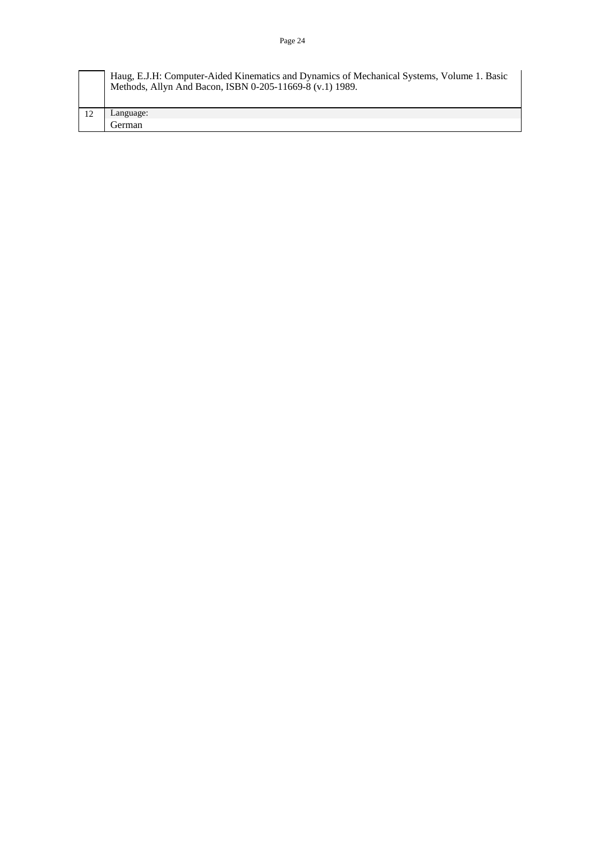| Haug, E.J.H: Computer-Aided Kinematics and Dynamics of Mechanical Systems, Volume 1. Basic<br>Methods, Allyn And Bacon, ISBN 0-205-11669-8 (v.1) 1989. |
|--------------------------------------------------------------------------------------------------------------------------------------------------------|
| Language:                                                                                                                                              |
| German                                                                                                                                                 |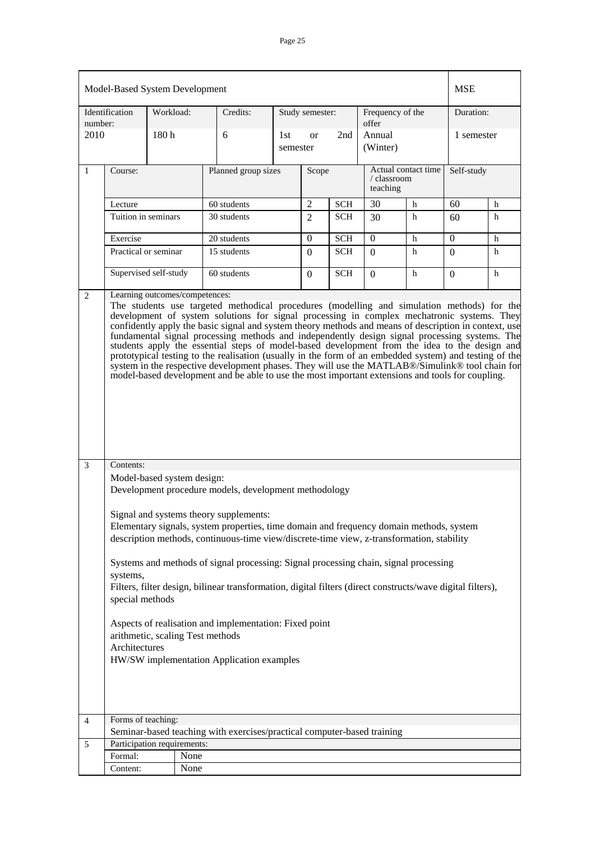|              | Model-Based System Development                                                                                                                                                                                                                                                                                                                                                                                                                                                                                                                                                                                                                                                                                                      |                  |      |                                                                         |                                                                                                                                                                                                                                                                                                                                                                                                                                                                                                                                   |           |     |                    | <b>MSE</b> |  |
|--------------|-------------------------------------------------------------------------------------------------------------------------------------------------------------------------------------------------------------------------------------------------------------------------------------------------------------------------------------------------------------------------------------------------------------------------------------------------------------------------------------------------------------------------------------------------------------------------------------------------------------------------------------------------------------------------------------------------------------------------------------|------------------|------|-------------------------------------------------------------------------|-----------------------------------------------------------------------------------------------------------------------------------------------------------------------------------------------------------------------------------------------------------------------------------------------------------------------------------------------------------------------------------------------------------------------------------------------------------------------------------------------------------------------------------|-----------|-----|--------------------|------------|--|
| number:      | Identification                                                                                                                                                                                                                                                                                                                                                                                                                                                                                                                                                                                                                                                                                                                      | Workload:        |      | Credits:                                                                |                                                                                                                                                                                                                                                                                                                                                                                                                                                                                                                                   |           |     | Frequency of the   | Duration:  |  |
| 2010         |                                                                                                                                                                                                                                                                                                                                                                                                                                                                                                                                                                                                                                                                                                                                     | 180 <sub>h</sub> |      | 6                                                                       | 1st                                                                                                                                                                                                                                                                                                                                                                                                                                                                                                                               | <b>or</b> | 2nd | Annual<br>(Winter) |            |  |
| $\mathbf{1}$ | Course:                                                                                                                                                                                                                                                                                                                                                                                                                                                                                                                                                                                                                                                                                                                             |                  |      | Planned group sizes                                                     | Study semester:<br>offer<br>1 semester<br>semester<br>Actual contact time<br>Self-study<br>Scope<br>/ classroom<br>teaching<br>$\overline{2}$<br>30<br>60<br><b>SCH</b><br>h<br>h<br><b>SCH</b><br>$\overline{2}$<br>h<br>h<br>30<br>60<br>$\boldsymbol{0}$<br><b>SCH</b><br>$\theta$<br>0<br>h<br>h<br><b>SCH</b><br>h<br>$\boldsymbol{0}$<br>$\Omega$<br>h<br>$\Omega$<br><b>SCH</b><br>h<br>h<br>$\overline{0}$<br>$\Omega$<br>0<br>The students use targeted methodical procedures (modelling and simulation methods) for the |           |     |                    |            |  |
|              | Lecture                                                                                                                                                                                                                                                                                                                                                                                                                                                                                                                                                                                                                                                                                                                             |                  |      | 60 students                                                             |                                                                                                                                                                                                                                                                                                                                                                                                                                                                                                                                   |           |     |                    |            |  |
|              | Tuition in seminars                                                                                                                                                                                                                                                                                                                                                                                                                                                                                                                                                                                                                                                                                                                 |                  |      | 30 students                                                             |                                                                                                                                                                                                                                                                                                                                                                                                                                                                                                                                   |           |     |                    |            |  |
|              | Exercise                                                                                                                                                                                                                                                                                                                                                                                                                                                                                                                                                                                                                                                                                                                            |                  |      | 20 students                                                             |                                                                                                                                                                                                                                                                                                                                                                                                                                                                                                                                   |           |     |                    |            |  |
|              | Practical or seminar                                                                                                                                                                                                                                                                                                                                                                                                                                                                                                                                                                                                                                                                                                                |                  |      | 15 students                                                             |                                                                                                                                                                                                                                                                                                                                                                                                                                                                                                                                   |           |     |                    |            |  |
|              | Supervised self-study                                                                                                                                                                                                                                                                                                                                                                                                                                                                                                                                                                                                                                                                                                               |                  |      | 60 students                                                             |                                                                                                                                                                                                                                                                                                                                                                                                                                                                                                                                   |           |     |                    |            |  |
| 3            | development of system solutions for signal processing in complex mechatronic systems. They<br>confidently apply the basic signal and system theory methods and means of description in context, use<br>fundamental signal processing methods and independently design signal processing systems. The<br>students apply the essential steps of model-based development from the idea to the design and<br>prototypical testing to the realisation (usually in the form of an embedded system) and testing of the<br>system in the respective development phases. They will use the MATLAB®/Simulink® tool chain for<br>model-based development and be able to use the most important extensions and tools for coupling.<br>Contents: |                  |      |                                                                         |                                                                                                                                                                                                                                                                                                                                                                                                                                                                                                                                   |           |     |                    |            |  |
|              |                                                                                                                                                                                                                                                                                                                                                                                                                                                                                                                                                                                                                                                                                                                                     |                  |      |                                                                         |                                                                                                                                                                                                                                                                                                                                                                                                                                                                                                                                   |           |     |                    |            |  |
|              | Model-based system design:<br>Development procedure models, development methodology<br>Signal and systems theory supplements:<br>Elementary signals, system properties, time domain and frequency domain methods, system<br>description methods, continuous-time view/discrete-time view, z-transformation, stability<br>Systems and methods of signal processing: Signal processing chain, signal processing<br>systems,<br>Filters, filter design, bilinear transformation, digital filters (direct constructs/wave digital filters),<br>special methods<br>Aspects of realisation and implementation: Fixed point<br>arithmetic, scaling Test methods<br>Architectures<br>HW/SW implementation Application examples              |                  |      |                                                                         |                                                                                                                                                                                                                                                                                                                                                                                                                                                                                                                                   |           |     |                    |            |  |
| 4            | Forms of teaching:                                                                                                                                                                                                                                                                                                                                                                                                                                                                                                                                                                                                                                                                                                                  |                  |      | Seminar-based teaching with exercises/practical computer-based training |                                                                                                                                                                                                                                                                                                                                                                                                                                                                                                                                   |           |     |                    |            |  |
| 5            | Participation requirements:                                                                                                                                                                                                                                                                                                                                                                                                                                                                                                                                                                                                                                                                                                         |                  |      |                                                                         |                                                                                                                                                                                                                                                                                                                                                                                                                                                                                                                                   |           |     |                    |            |  |
|              | Formal:                                                                                                                                                                                                                                                                                                                                                                                                                                                                                                                                                                                                                                                                                                                             |                  | None |                                                                         |                                                                                                                                                                                                                                                                                                                                                                                                                                                                                                                                   |           |     |                    |            |  |
|              | Content:                                                                                                                                                                                                                                                                                                                                                                                                                                                                                                                                                                                                                                                                                                                            |                  | None |                                                                         |                                                                                                                                                                                                                                                                                                                                                                                                                                                                                                                                   |           |     |                    |            |  |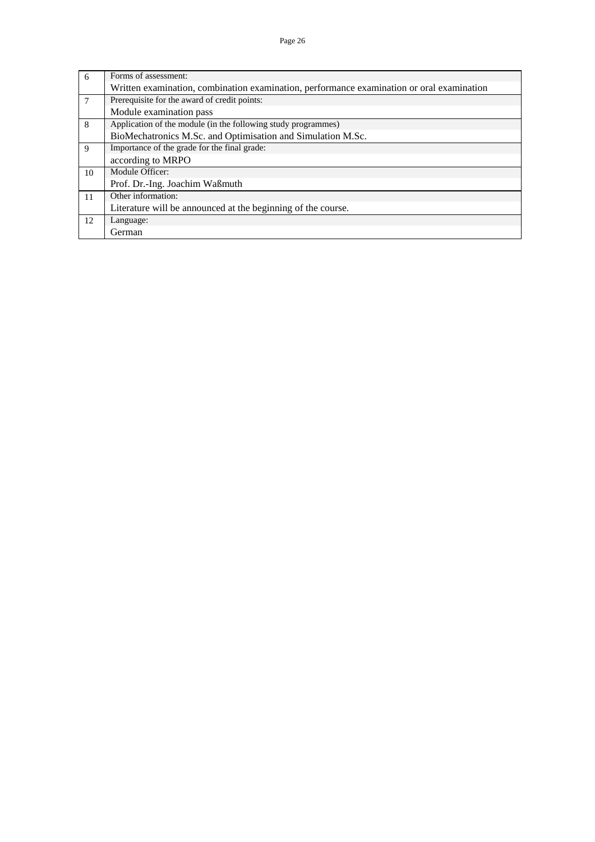| 6  | Forms of assessment:                                                                      |
|----|-------------------------------------------------------------------------------------------|
|    | Written examination, combination examination, performance examination or oral examination |
| 7  | Prerequisite for the award of credit points:                                              |
|    | Module examination pass                                                                   |
| 8  | Application of the module (in the following study programmes)                             |
|    | BioMechatronics M.Sc. and Optimisation and Simulation M.Sc.                               |
| 9  | Importance of the grade for the final grade:                                              |
|    | according to MRPO                                                                         |
| 10 | Module Officer:                                                                           |
|    | Prof. Dr.-Ing. Joachim Waßmuth                                                            |
| 11 | Other information:                                                                        |
|    | Literature will be announced at the beginning of the course.                              |
| 12 | Language:                                                                                 |
|    | German                                                                                    |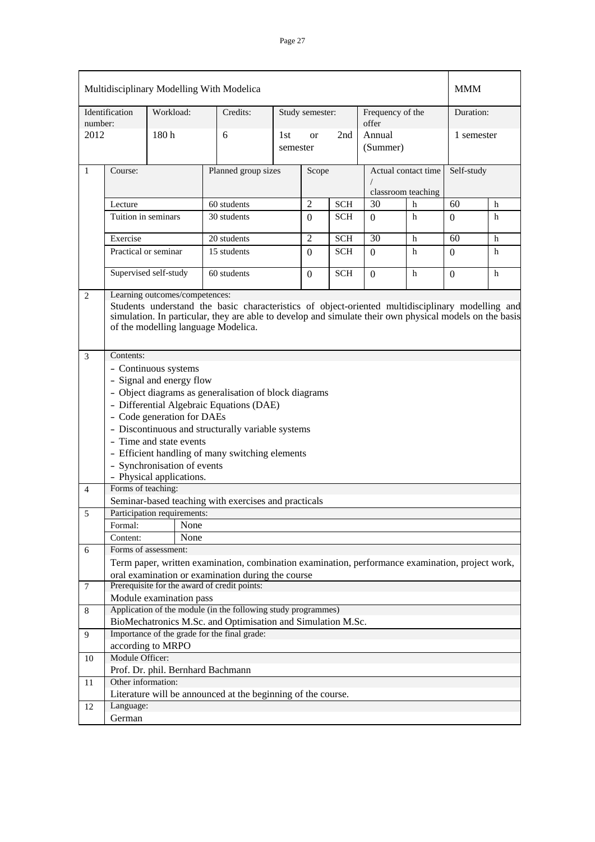|              | Multidisciplinary Modelling With Modelica                                                                                                                                                                                                                                            |                                   |                                                                                                  |                 |                 |            |                                           |   |            |   |
|--------------|--------------------------------------------------------------------------------------------------------------------------------------------------------------------------------------------------------------------------------------------------------------------------------------|-----------------------------------|--------------------------------------------------------------------------------------------------|-----------------|-----------------|------------|-------------------------------------------|---|------------|---|
| number:      | Identification                                                                                                                                                                                                                                                                       | Workload:                         | Credits:                                                                                         |                 | Study semester: |            | Frequency of the<br>offer                 |   | Duration:  |   |
| 2012         |                                                                                                                                                                                                                                                                                      | 180 <sub>h</sub>                  | 6                                                                                                | 1st<br>semester | <b>or</b>       | 2nd        | Annual<br>(Summer)                        |   | 1 semester |   |
| $\mathbf{1}$ | Course:                                                                                                                                                                                                                                                                              |                                   | Planned group sizes                                                                              |                 | Scope           |            | Actual contact time<br>classroom teaching |   | Self-study |   |
|              | Lecture                                                                                                                                                                                                                                                                              |                                   | 60 students                                                                                      |                 | $\overline{2}$  | <b>SCH</b> | 30                                        | h | 60         | h |
|              | Tuition in seminars                                                                                                                                                                                                                                                                  |                                   | 30 students                                                                                      |                 | $\Omega$        | <b>SCH</b> | $\Omega$                                  | h | $\Omega$   | h |
|              | Exercise                                                                                                                                                                                                                                                                             |                                   | 20 students                                                                                      |                 | $\overline{2}$  | <b>SCH</b> | 30                                        | h | 60         | h |
|              | Practical or seminar                                                                                                                                                                                                                                                                 |                                   | 15 students                                                                                      |                 | $\theta$        | <b>SCH</b> | $\Omega$                                  | h | 0          | h |
|              | Supervised self-study                                                                                                                                                                                                                                                                |                                   | 60 students                                                                                      |                 |                 | <b>SCH</b> | $\Omega$                                  | h | $\Omega$   | h |
| 2            | Learning outcomes/competences:<br>Students understand the basic characteristics of object-oriented multidisciplinary modelling and<br>simulation. In particular, they are able to develop and simulate their own physical models on the basis<br>of the modelling language Modelica. |                                   |                                                                                                  |                 |                 |            |                                           |   |            |   |
| 3            | Contents:                                                                                                                                                                                                                                                                            |                                   |                                                                                                  |                 |                 |            |                                           |   |            |   |
|              | - Continuous systems                                                                                                                                                                                                                                                                 |                                   |                                                                                                  |                 |                 |            |                                           |   |            |   |
|              | - Signal and energy flow                                                                                                                                                                                                                                                             |                                   |                                                                                                  |                 |                 |            |                                           |   |            |   |
|              |                                                                                                                                                                                                                                                                                      |                                   | - Object diagrams as generalisation of block diagrams                                            |                 |                 |            |                                           |   |            |   |
|              | - Differential Algebraic Equations (DAE)                                                                                                                                                                                                                                             |                                   |                                                                                                  |                 |                 |            |                                           |   |            |   |
|              |                                                                                                                                                                                                                                                                                      | - Code generation for DAEs        |                                                                                                  |                 |                 |            |                                           |   |            |   |
|              |                                                                                                                                                                                                                                                                                      |                                   | - Discontinuous and structurally variable systems                                                |                 |                 |            |                                           |   |            |   |
|              |                                                                                                                                                                                                                                                                                      | - Time and state events           |                                                                                                  |                 |                 |            |                                           |   |            |   |
|              |                                                                                                                                                                                                                                                                                      |                                   | - Efficient handling of many switching elements                                                  |                 |                 |            |                                           |   |            |   |
|              |                                                                                                                                                                                                                                                                                      | - Synchronisation of events       |                                                                                                  |                 |                 |            |                                           |   |            |   |
|              | Forms of teaching:                                                                                                                                                                                                                                                                   | - Physical applications.          |                                                                                                  |                 |                 |            |                                           |   |            |   |
| 4            |                                                                                                                                                                                                                                                                                      |                                   | Seminar-based teaching with exercises and practicals                                             |                 |                 |            |                                           |   |            |   |
|              |                                                                                                                                                                                                                                                                                      | Participation requirements:       |                                                                                                  |                 |                 |            |                                           |   |            |   |
| 5            | Formal:                                                                                                                                                                                                                                                                              | None                              |                                                                                                  |                 |                 |            |                                           |   |            |   |
|              | Content:                                                                                                                                                                                                                                                                             | None                              |                                                                                                  |                 |                 |            |                                           |   |            |   |
| 6            |                                                                                                                                                                                                                                                                                      | Forms of assessment:              |                                                                                                  |                 |                 |            |                                           |   |            |   |
|              |                                                                                                                                                                                                                                                                                      |                                   | Term paper, written examination, combination examination, performance examination, project work, |                 |                 |            |                                           |   |            |   |
|              |                                                                                                                                                                                                                                                                                      |                                   | oral examination or examination during the course                                                |                 |                 |            |                                           |   |            |   |
| $\tau$       |                                                                                                                                                                                                                                                                                      |                                   | Prerequisite for the award of credit points:                                                     |                 |                 |            |                                           |   |            |   |
|              |                                                                                                                                                                                                                                                                                      | Module examination pass           |                                                                                                  |                 |                 |            |                                           |   |            |   |
| 8            |                                                                                                                                                                                                                                                                                      |                                   | Application of the module (in the following study programmes)                                    |                 |                 |            |                                           |   |            |   |
|              |                                                                                                                                                                                                                                                                                      |                                   | BioMechatronics M.Sc. and Optimisation and Simulation M.Sc.                                      |                 |                 |            |                                           |   |            |   |
| 9            |                                                                                                                                                                                                                                                                                      |                                   | Importance of the grade for the final grade:                                                     |                 |                 |            |                                           |   |            |   |
|              |                                                                                                                                                                                                                                                                                      | according to MRPO                 |                                                                                                  |                 |                 |            |                                           |   |            |   |
| 10           | Module Officer:                                                                                                                                                                                                                                                                      |                                   |                                                                                                  |                 |                 |            |                                           |   |            |   |
|              |                                                                                                                                                                                                                                                                                      | Prof. Dr. phil. Bernhard Bachmann |                                                                                                  |                 |                 |            |                                           |   |            |   |
| 11           | Other information:                                                                                                                                                                                                                                                                   |                                   | Literature will be announced at the beginning of the course.                                     |                 |                 |            |                                           |   |            |   |
| 12           | Language:                                                                                                                                                                                                                                                                            |                                   |                                                                                                  |                 |                 |            |                                           |   |            |   |
|              | German                                                                                                                                                                                                                                                                               |                                   |                                                                                                  |                 |                 |            |                                           |   |            |   |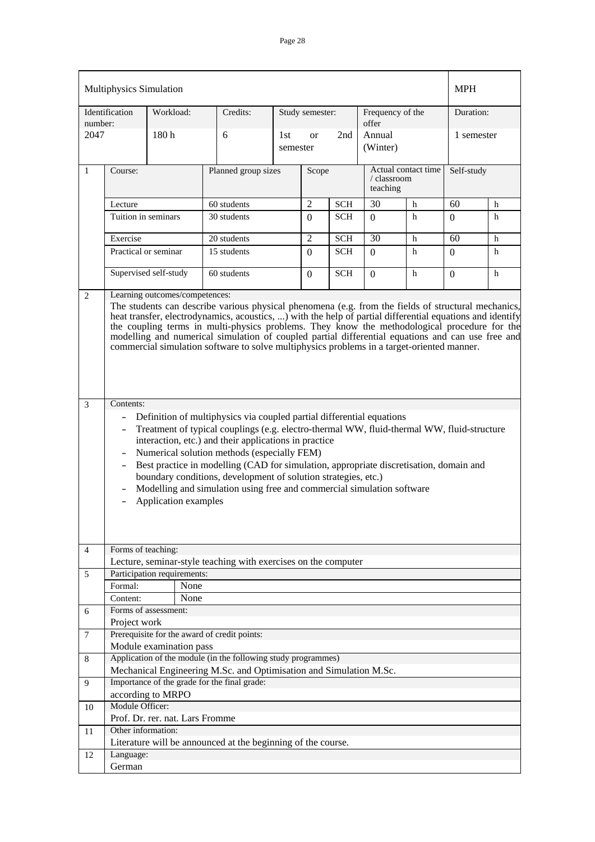| Multiphysics Simulation |                                                                                                                                                                                                                                                                                                                                                                                                                                                                                                                                                                                                                                                                                                                                                                                                                                                                                                                                                                                                                                                                                                                                                                              | <b>MPH</b>                           |                                                                    |                 |                 |            |                           |                     |            |   |
|-------------------------|------------------------------------------------------------------------------------------------------------------------------------------------------------------------------------------------------------------------------------------------------------------------------------------------------------------------------------------------------------------------------------------------------------------------------------------------------------------------------------------------------------------------------------------------------------------------------------------------------------------------------------------------------------------------------------------------------------------------------------------------------------------------------------------------------------------------------------------------------------------------------------------------------------------------------------------------------------------------------------------------------------------------------------------------------------------------------------------------------------------------------------------------------------------------------|--------------------------------------|--------------------------------------------------------------------|-----------------|-----------------|------------|---------------------------|---------------------|------------|---|
| number:                 | Identification                                                                                                                                                                                                                                                                                                                                                                                                                                                                                                                                                                                                                                                                                                                                                                                                                                                                                                                                                                                                                                                                                                                                                               | Workload:                            | Credits:                                                           |                 | Study semester: |            | Frequency of the<br>offer |                     | Duration:  |   |
| 2047                    |                                                                                                                                                                                                                                                                                                                                                                                                                                                                                                                                                                                                                                                                                                                                                                                                                                                                                                                                                                                                                                                                                                                                                                              | 180h                                 | 6                                                                  | 1st<br>semester | <sub>or</sub>   | 2nd        | Annual<br>(Winter)        |                     | 1 semester |   |
| $\mathbf{1}$            | Course:                                                                                                                                                                                                                                                                                                                                                                                                                                                                                                                                                                                                                                                                                                                                                                                                                                                                                                                                                                                                                                                                                                                                                                      |                                      | Planned group sizes                                                |                 | Scope           |            | / classroom<br>teaching   | Actual contact time | Self-study |   |
|                         | Lecture                                                                                                                                                                                                                                                                                                                                                                                                                                                                                                                                                                                                                                                                                                                                                                                                                                                                                                                                                                                                                                                                                                                                                                      |                                      | 60 students                                                        |                 | $\overline{2}$  | <b>SCH</b> | 30                        | h                   | 60         | h |
|                         | Tuition in seminars                                                                                                                                                                                                                                                                                                                                                                                                                                                                                                                                                                                                                                                                                                                                                                                                                                                                                                                                                                                                                                                                                                                                                          |                                      | 30 students                                                        |                 | $\Omega$        | <b>SCH</b> | $\Omega$                  | h                   | $\Omega$   | h |
|                         |                                                                                                                                                                                                                                                                                                                                                                                                                                                                                                                                                                                                                                                                                                                                                                                                                                                                                                                                                                                                                                                                                                                                                                              |                                      |                                                                    |                 |                 |            |                           |                     |            |   |
|                         | Exercise                                                                                                                                                                                                                                                                                                                                                                                                                                                                                                                                                                                                                                                                                                                                                                                                                                                                                                                                                                                                                                                                                                                                                                     |                                      | 20 students                                                        |                 | $\overline{2}$  | <b>SCH</b> | 30                        | h                   | 60         | h |
|                         | Practical or seminar                                                                                                                                                                                                                                                                                                                                                                                                                                                                                                                                                                                                                                                                                                                                                                                                                                                                                                                                                                                                                                                                                                                                                         |                                      | 15 students                                                        |                 | $\Omega$        | <b>SCH</b> | $\Omega$                  | h                   | $\Omega$   | h |
|                         |                                                                                                                                                                                                                                                                                                                                                                                                                                                                                                                                                                                                                                                                                                                                                                                                                                                                                                                                                                                                                                                                                                                                                                              | Supervised self-study<br>60 students |                                                                    |                 | $\theta$        | <b>SCH</b> | $\Omega$                  | h                   | $\Omega$   | h |
| 2                       |                                                                                                                                                                                                                                                                                                                                                                                                                                                                                                                                                                                                                                                                                                                                                                                                                                                                                                                                                                                                                                                                                                                                                                              | Learning outcomes/competences:       |                                                                    |                 |                 |            |                           |                     |            |   |
| 3                       | The students can describe various physical phenomena (e.g. from the fields of structural mechanics,<br>heat transfer, electrodynamics, acoustics, ) with the help of partial differential equations and identify<br>the coupling terms in multi-physics problems. They know the methodological procedure for the<br>modelling and numerical simulation of coupled partial differential equations and can use free and<br>commercial simulation software to solve multiphysics problems in a target-oriented manner.<br>Contents:<br>Definition of multiphysics via coupled partial differential equations<br>Treatment of typical couplings (e.g. electro-thermal WW, fluid-thermal WW, fluid-structure<br>$\blacksquare$<br>interaction, etc.) and their applications in practice<br>Numerical solution methods (especially FEM)<br>$\overline{\phantom{a}}$<br>Best practice in modelling (CAD for simulation, appropriate discretisation, domain and<br>$\overline{\phantom{a}}$<br>boundary conditions, development of solution strategies, etc.)<br>Modelling and simulation using free and commercial simulation software<br>$\qquad \qquad -$<br>Application examples |                                      |                                                                    |                 |                 |            |                           |                     |            |   |
| 4                       | Forms of teaching:                                                                                                                                                                                                                                                                                                                                                                                                                                                                                                                                                                                                                                                                                                                                                                                                                                                                                                                                                                                                                                                                                                                                                           |                                      |                                                                    |                 |                 |            |                           |                     |            |   |
|                         |                                                                                                                                                                                                                                                                                                                                                                                                                                                                                                                                                                                                                                                                                                                                                                                                                                                                                                                                                                                                                                                                                                                                                                              |                                      | Lecture, seminar-style teaching with exercises on the computer     |                 |                 |            |                           |                     |            |   |
| 5                       |                                                                                                                                                                                                                                                                                                                                                                                                                                                                                                                                                                                                                                                                                                                                                                                                                                                                                                                                                                                                                                                                                                                                                                              | Participation requirements:          |                                                                    |                 |                 |            |                           |                     |            |   |
|                         | Formal:                                                                                                                                                                                                                                                                                                                                                                                                                                                                                                                                                                                                                                                                                                                                                                                                                                                                                                                                                                                                                                                                                                                                                                      | None                                 |                                                                    |                 |                 |            |                           |                     |            |   |
|                         | Content:                                                                                                                                                                                                                                                                                                                                                                                                                                                                                                                                                                                                                                                                                                                                                                                                                                                                                                                                                                                                                                                                                                                                                                     | None                                 |                                                                    |                 |                 |            |                           |                     |            |   |
| 6                       |                                                                                                                                                                                                                                                                                                                                                                                                                                                                                                                                                                                                                                                                                                                                                                                                                                                                                                                                                                                                                                                                                                                                                                              | Forms of assessment:                 |                                                                    |                 |                 |            |                           |                     |            |   |
|                         | Project work                                                                                                                                                                                                                                                                                                                                                                                                                                                                                                                                                                                                                                                                                                                                                                                                                                                                                                                                                                                                                                                                                                                                                                 |                                      |                                                                    |                 |                 |            |                           |                     |            |   |
| $7\phantom{.0}$         |                                                                                                                                                                                                                                                                                                                                                                                                                                                                                                                                                                                                                                                                                                                                                                                                                                                                                                                                                                                                                                                                                                                                                                              | Module examination pass              | Prerequisite for the award of credit points:                       |                 |                 |            |                           |                     |            |   |
| 8                       |                                                                                                                                                                                                                                                                                                                                                                                                                                                                                                                                                                                                                                                                                                                                                                                                                                                                                                                                                                                                                                                                                                                                                                              |                                      | Application of the module (in the following study programmes)      |                 |                 |            |                           |                     |            |   |
|                         |                                                                                                                                                                                                                                                                                                                                                                                                                                                                                                                                                                                                                                                                                                                                                                                                                                                                                                                                                                                                                                                                                                                                                                              |                                      | Mechanical Engineering M.Sc. and Optimisation and Simulation M.Sc. |                 |                 |            |                           |                     |            |   |
| 9                       |                                                                                                                                                                                                                                                                                                                                                                                                                                                                                                                                                                                                                                                                                                                                                                                                                                                                                                                                                                                                                                                                                                                                                                              |                                      | Importance of the grade for the final grade:                       |                 |                 |            |                           |                     |            |   |
|                         |                                                                                                                                                                                                                                                                                                                                                                                                                                                                                                                                                                                                                                                                                                                                                                                                                                                                                                                                                                                                                                                                                                                                                                              | according to MRPO                    |                                                                    |                 |                 |            |                           |                     |            |   |
| 10                      | Module Officer:                                                                                                                                                                                                                                                                                                                                                                                                                                                                                                                                                                                                                                                                                                                                                                                                                                                                                                                                                                                                                                                                                                                                                              |                                      |                                                                    |                 |                 |            |                           |                     |            |   |
|                         |                                                                                                                                                                                                                                                                                                                                                                                                                                                                                                                                                                                                                                                                                                                                                                                                                                                                                                                                                                                                                                                                                                                                                                              | Prof. Dr. rer. nat. Lars Fromme      |                                                                    |                 |                 |            |                           |                     |            |   |
| 11                      | Other information:                                                                                                                                                                                                                                                                                                                                                                                                                                                                                                                                                                                                                                                                                                                                                                                                                                                                                                                                                                                                                                                                                                                                                           |                                      |                                                                    |                 |                 |            |                           |                     |            |   |
|                         |                                                                                                                                                                                                                                                                                                                                                                                                                                                                                                                                                                                                                                                                                                                                                                                                                                                                                                                                                                                                                                                                                                                                                                              |                                      | Literature will be announced at the beginning of the course.       |                 |                 |            |                           |                     |            |   |
| 12                      | Language:                                                                                                                                                                                                                                                                                                                                                                                                                                                                                                                                                                                                                                                                                                                                                                                                                                                                                                                                                                                                                                                                                                                                                                    |                                      |                                                                    |                 |                 |            |                           |                     |            |   |
|                         | German                                                                                                                                                                                                                                                                                                                                                                                                                                                                                                                                                                                                                                                                                                                                                                                                                                                                                                                                                                                                                                                                                                                                                                       |                                      |                                                                    |                 |                 |            |                           |                     |            |   |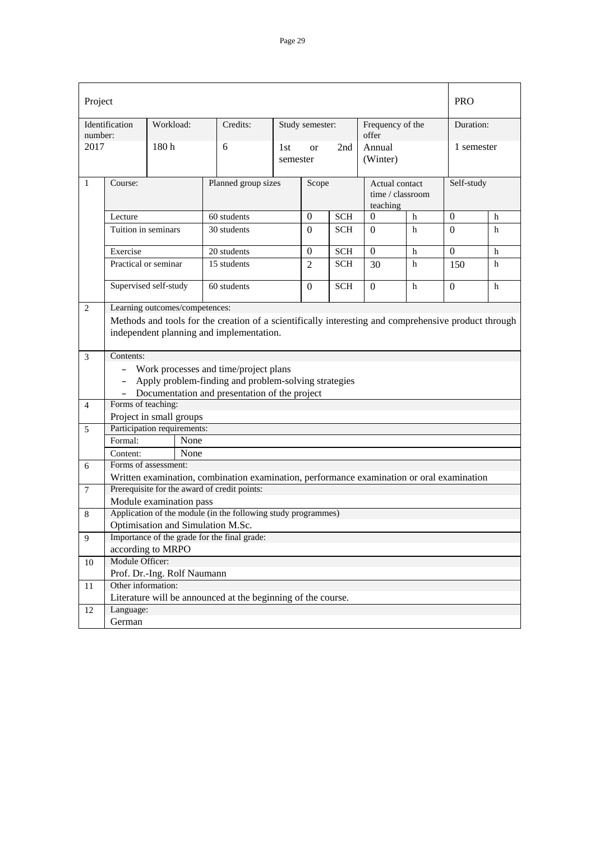| Project        |                                          |                                   |                                                                                                      |                     |                 |            |                           |                                                | <b>PRO</b>       |            |  |
|----------------|------------------------------------------|-----------------------------------|------------------------------------------------------------------------------------------------------|---------------------|-----------------|------------|---------------------------|------------------------------------------------|------------------|------------|--|
| number:        | Identification                           | Workload:                         | Credits:                                                                                             |                     | Study semester: |            | Frequency of the<br>offer |                                                | Duration:        |            |  |
| 2017           |                                          | 180h                              | 6                                                                                                    | 1st<br>semester     | <b>or</b>       | 2nd        | Annual<br>(Winter)        |                                                | 1 semester       |            |  |
| 1              | Course:                                  |                                   |                                                                                                      | Planned group sizes |                 | Scope      |                           | Actual contact<br>time / classroom<br>teaching |                  | Self-study |  |
|                | Lecture                                  |                                   | 60 students                                                                                          |                     | $\mathbf{0}$    | <b>SCH</b> | $\boldsymbol{0}$          | $\mathbf h$                                    | $\boldsymbol{0}$ | h          |  |
|                | Tuition in seminars                      |                                   | 30 students                                                                                          |                     |                 | <b>SCH</b> | $\Omega$                  | $\mathbf h$                                    | $\Omega$         | h          |  |
|                | Exercise                                 |                                   | 20 students                                                                                          |                     | $\overline{0}$  | <b>SCH</b> | $\theta$                  | h                                              | $\overline{0}$   | h          |  |
|                | Practical or seminar                     |                                   | 15 students                                                                                          |                     | 2               | <b>SCH</b> | 30                        | h                                              | 150              | h          |  |
|                | Supervised self-study<br>60 students     |                                   |                                                                                                      |                     |                 | <b>SCH</b> | $\Omega$                  | h                                              | $\mathbf{0}$     | h          |  |
| 2              |                                          | Learning outcomes/competences:    |                                                                                                      |                     |                 |            |                           |                                                |                  |            |  |
|                |                                          |                                   | Methods and tools for the creation of a scientifically interesting and comprehensive product through |                     |                 |            |                           |                                                |                  |            |  |
|                | independent planning and implementation. |                                   |                                                                                                      |                     |                 |            |                           |                                                |                  |            |  |
| 3              | Contents:                                |                                   |                                                                                                      |                     |                 |            |                           |                                                |                  |            |  |
|                | - Work processes and time/project plans  |                                   |                                                                                                      |                     |                 |            |                           |                                                |                  |            |  |
|                | $\sim$                                   |                                   | Apply problem-finding and problem-solving strategies                                                 |                     |                 |            |                           |                                                |                  |            |  |
|                |                                          |                                   | Documentation and presentation of the project                                                        |                     |                 |            |                           |                                                |                  |            |  |
| $\overline{4}$ | Forms of teaching:                       |                                   |                                                                                                      |                     |                 |            |                           |                                                |                  |            |  |
|                |                                          | Project in small groups           |                                                                                                      |                     |                 |            |                           |                                                |                  |            |  |
| 5              |                                          | Participation requirements:       |                                                                                                      |                     |                 |            |                           |                                                |                  |            |  |
|                | Formal:                                  | None                              |                                                                                                      |                     |                 |            |                           |                                                |                  |            |  |
|                | Content:                                 | None                              |                                                                                                      |                     |                 |            |                           |                                                |                  |            |  |
| 6              |                                          | Forms of assessment:              |                                                                                                      |                     |                 |            |                           |                                                |                  |            |  |
|                |                                          |                                   | Written examination, combination examination, performance examination or oral examination            |                     |                 |            |                           |                                                |                  |            |  |
| 7              |                                          |                                   | Prerequisite for the award of credit points:                                                         |                     |                 |            |                           |                                                |                  |            |  |
|                |                                          | Module examination pass           |                                                                                                      |                     |                 |            |                           |                                                |                  |            |  |
| 8              |                                          |                                   | Application of the module (in the following study programmes)                                        |                     |                 |            |                           |                                                |                  |            |  |
|                |                                          | Optimisation and Simulation M.Sc. |                                                                                                      |                     |                 |            |                           |                                                |                  |            |  |
| 9              |                                          |                                   | Importance of the grade for the final grade:                                                         |                     |                 |            |                           |                                                |                  |            |  |
|                | according to MRPO                        |                                   |                                                                                                      |                     |                 |            |                           |                                                |                  |            |  |
| 10             | Module Officer:                          |                                   |                                                                                                      |                     |                 |            |                           |                                                |                  |            |  |
|                |                                          | Prof. Dr.-Ing. Rolf Naumann       |                                                                                                      |                     |                 |            |                           |                                                |                  |            |  |
| 11             | Other information:                       |                                   |                                                                                                      |                     |                 |            |                           |                                                |                  |            |  |
|                |                                          |                                   | Literature will be announced at the beginning of the course.                                         |                     |                 |            |                           |                                                |                  |            |  |
| 12             | Language:                                |                                   |                                                                                                      |                     |                 |            |                           |                                                |                  |            |  |
|                | German                                   |                                   |                                                                                                      |                     |                 |            |                           |                                                |                  |            |  |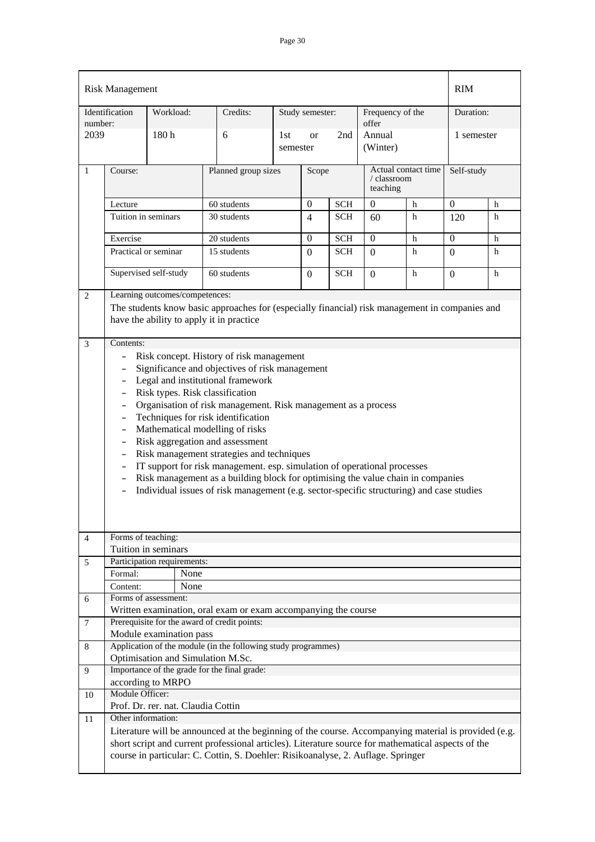|                | <b>Risk Management</b>                                                                                                                                                                                                                                                                                                                                                                                                                                                                                                                                                                                                                                                                                                                                                                                                                                                                                                                                                                                                                                                                                      |                                      |                                                                                                      |                 |                 |            |                                                |   | <b>RIM</b>     |   |
|----------------|-------------------------------------------------------------------------------------------------------------------------------------------------------------------------------------------------------------------------------------------------------------------------------------------------------------------------------------------------------------------------------------------------------------------------------------------------------------------------------------------------------------------------------------------------------------------------------------------------------------------------------------------------------------------------------------------------------------------------------------------------------------------------------------------------------------------------------------------------------------------------------------------------------------------------------------------------------------------------------------------------------------------------------------------------------------------------------------------------------------|--------------------------------------|------------------------------------------------------------------------------------------------------|-----------------|-----------------|------------|------------------------------------------------|---|----------------|---|
| number:        | Identification                                                                                                                                                                                                                                                                                                                                                                                                                                                                                                                                                                                                                                                                                                                                                                                                                                                                                                                                                                                                                                                                                              | Workload:                            | Credits:                                                                                             |                 | Study semester: |            | Frequency of the<br>offer                      |   | Duration:      |   |
| 2039           |                                                                                                                                                                                                                                                                                                                                                                                                                                                                                                                                                                                                                                                                                                                                                                                                                                                                                                                                                                                                                                                                                                             | 180h                                 | 6                                                                                                    | 1st<br>semester | <sub>or</sub>   | 2nd        | Annual<br>(Winter)                             |   | 1 semester     |   |
| 1              | Course:                                                                                                                                                                                                                                                                                                                                                                                                                                                                                                                                                                                                                                                                                                                                                                                                                                                                                                                                                                                                                                                                                                     |                                      | Planned group sizes                                                                                  |                 | Scope           |            | Actual contact time<br>/ classroom<br>teaching |   | Self-study     |   |
|                | Lecture                                                                                                                                                                                                                                                                                                                                                                                                                                                                                                                                                                                                                                                                                                                                                                                                                                                                                                                                                                                                                                                                                                     |                                      | 60 students                                                                                          |                 | $\overline{0}$  | <b>SCH</b> | $\mathbf{0}$                                   | h | $\Omega$       | h |
|                | Tuition in seminars                                                                                                                                                                                                                                                                                                                                                                                                                                                                                                                                                                                                                                                                                                                                                                                                                                                                                                                                                                                                                                                                                         |                                      | 30 students                                                                                          |                 | 4               | <b>SCH</b> | 60                                             | h | 120            | h |
|                | Exercise                                                                                                                                                                                                                                                                                                                                                                                                                                                                                                                                                                                                                                                                                                                                                                                                                                                                                                                                                                                                                                                                                                    |                                      | 20 students                                                                                          |                 | $\Omega$        | <b>SCH</b> | $\overline{0}$                                 | h | $\overline{0}$ | h |
|                | Practical or seminar                                                                                                                                                                                                                                                                                                                                                                                                                                                                                                                                                                                                                                                                                                                                                                                                                                                                                                                                                                                                                                                                                        |                                      | 15 students                                                                                          |                 |                 | <b>SCH</b> | 0                                              | h | $\Omega$       | h |
|                |                                                                                                                                                                                                                                                                                                                                                                                                                                                                                                                                                                                                                                                                                                                                                                                                                                                                                                                                                                                                                                                                                                             | Supervised self-study<br>60 students |                                                                                                      |                 | $\Omega$        | <b>SCH</b> | $\theta$                                       | h | $\Omega$       | h |
| 3              | Learning outcomes/competences:<br>The students know basic approaches for (especially financial) risk management in companies and<br>have the ability to apply it in practice<br>Contents:<br>Risk concept. History of risk management<br>$\overline{\phantom{0}}$<br>Significance and objectives of risk management<br>$\overline{\phantom{0}}$<br>Legal and institutional framework<br>$\sim$<br>Risk types. Risk classification<br>$\overline{\phantom{0}}$<br>Organisation of risk management. Risk management as a process<br>$\equiv$<br>Techniques for risk identification<br>$\mathcal{L}^{\pm}$<br>Mathematical modelling of risks<br>$\equiv$<br>Risk aggregation and assessment<br>$\sim$<br>Risk management strategies and techniques<br>$\overline{\phantom{0}}$<br>IT support for risk management. esp. simulation of operational processes<br>$\equiv$<br>Risk management as a building block for optimising the value chain in companies<br>$\overline{\phantom{0}}$<br>Individual issues of risk management (e.g. sector-specific structuring) and case studies<br>$\overline{\phantom{0}}$ |                                      |                                                                                                      |                 |                 |            |                                                |   |                |   |
| $\overline{4}$ | Forms of teaching:                                                                                                                                                                                                                                                                                                                                                                                                                                                                                                                                                                                                                                                                                                                                                                                                                                                                                                                                                                                                                                                                                          | Tuition in seminars                  |                                                                                                      |                 |                 |            |                                                |   |                |   |
| 5              |                                                                                                                                                                                                                                                                                                                                                                                                                                                                                                                                                                                                                                                                                                                                                                                                                                                                                                                                                                                                                                                                                                             | Participation requirements:          |                                                                                                      |                 |                 |            |                                                |   |                |   |
|                | Formal:                                                                                                                                                                                                                                                                                                                                                                                                                                                                                                                                                                                                                                                                                                                                                                                                                                                                                                                                                                                                                                                                                                     | None                                 |                                                                                                      |                 |                 |            |                                                |   |                |   |
|                | Content:                                                                                                                                                                                                                                                                                                                                                                                                                                                                                                                                                                                                                                                                                                                                                                                                                                                                                                                                                                                                                                                                                                    | None                                 |                                                                                                      |                 |                 |            |                                                |   |                |   |
| 6              |                                                                                                                                                                                                                                                                                                                                                                                                                                                                                                                                                                                                                                                                                                                                                                                                                                                                                                                                                                                                                                                                                                             | Forms of assessment:                 |                                                                                                      |                 |                 |            |                                                |   |                |   |
|                |                                                                                                                                                                                                                                                                                                                                                                                                                                                                                                                                                                                                                                                                                                                                                                                                                                                                                                                                                                                                                                                                                                             |                                      | Written examination, oral exam or exam accompanying the course                                       |                 |                 |            |                                                |   |                |   |
| 7              |                                                                                                                                                                                                                                                                                                                                                                                                                                                                                                                                                                                                                                                                                                                                                                                                                                                                                                                                                                                                                                                                                                             |                                      | Prerequisite for the award of credit points:                                                         |                 |                 |            |                                                |   |                |   |
|                |                                                                                                                                                                                                                                                                                                                                                                                                                                                                                                                                                                                                                                                                                                                                                                                                                                                                                                                                                                                                                                                                                                             | Module examination pass              |                                                                                                      |                 |                 |            |                                                |   |                |   |
| 8              |                                                                                                                                                                                                                                                                                                                                                                                                                                                                                                                                                                                                                                                                                                                                                                                                                                                                                                                                                                                                                                                                                                             |                                      | Application of the module (in the following study programmes)                                        |                 |                 |            |                                                |   |                |   |
|                |                                                                                                                                                                                                                                                                                                                                                                                                                                                                                                                                                                                                                                                                                                                                                                                                                                                                                                                                                                                                                                                                                                             | Optimisation and Simulation M.Sc.    |                                                                                                      |                 |                 |            |                                                |   |                |   |
| 9              |                                                                                                                                                                                                                                                                                                                                                                                                                                                                                                                                                                                                                                                                                                                                                                                                                                                                                                                                                                                                                                                                                                             | according to MRPO                    | Importance of the grade for the final grade:                                                         |                 |                 |            |                                                |   |                |   |
| 10             | Module Officer:                                                                                                                                                                                                                                                                                                                                                                                                                                                                                                                                                                                                                                                                                                                                                                                                                                                                                                                                                                                                                                                                                             |                                      |                                                                                                      |                 |                 |            |                                                |   |                |   |
|                | Prof. Dr. rer. nat. Claudia Cottin                                                                                                                                                                                                                                                                                                                                                                                                                                                                                                                                                                                                                                                                                                                                                                                                                                                                                                                                                                                                                                                                          |                                      |                                                                                                      |                 |                 |            |                                                |   |                |   |
| 11             | Other information:                                                                                                                                                                                                                                                                                                                                                                                                                                                                                                                                                                                                                                                                                                                                                                                                                                                                                                                                                                                                                                                                                          |                                      |                                                                                                      |                 |                 |            |                                                |   |                |   |
|                |                                                                                                                                                                                                                                                                                                                                                                                                                                                                                                                                                                                                                                                                                                                                                                                                                                                                                                                                                                                                                                                                                                             |                                      | Literature will be announced at the beginning of the course. Accompanying material is provided (e.g. |                 |                 |            |                                                |   |                |   |
|                |                                                                                                                                                                                                                                                                                                                                                                                                                                                                                                                                                                                                                                                                                                                                                                                                                                                                                                                                                                                                                                                                                                             |                                      | short script and current professional articles). Literature source for mathematical aspects of the   |                 |                 |            |                                                |   |                |   |
|                |                                                                                                                                                                                                                                                                                                                                                                                                                                                                                                                                                                                                                                                                                                                                                                                                                                                                                                                                                                                                                                                                                                             |                                      | course in particular: C. Cottin, S. Doehler: Risikoanalyse, 2. Auflage. Springer                     |                 |                 |            |                                                |   |                |   |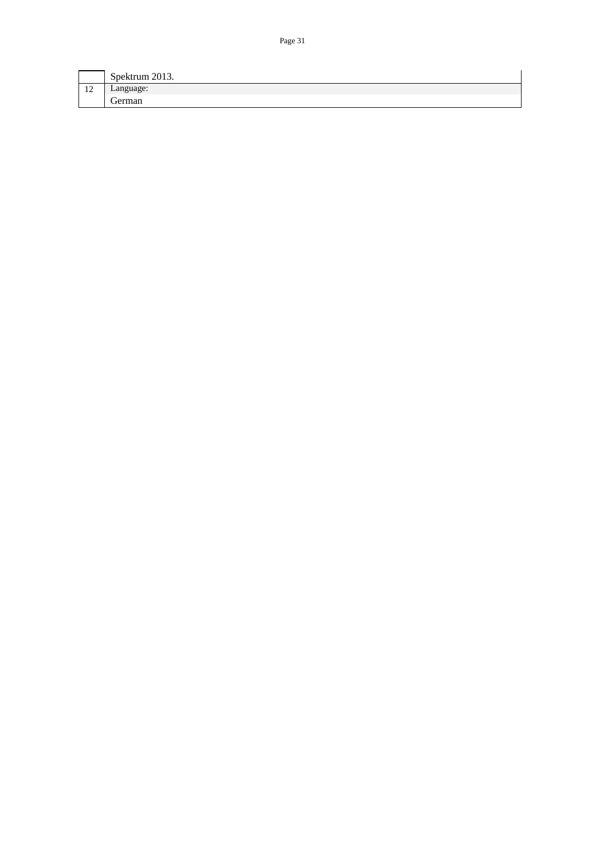|    | Spektrum 2013. |
|----|----------------|
| 12 | Language:      |
|    | ∼<br>German    |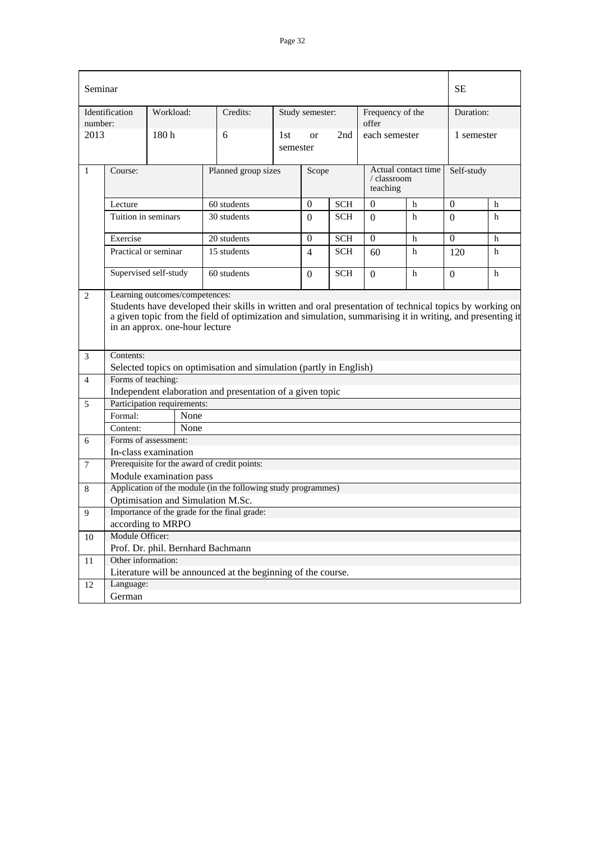|                | Seminar                                                                                                                                                                                                                                                |                                   |      |                                                                    |                 |                 |            |                           |                     | SЕ         |   |
|----------------|--------------------------------------------------------------------------------------------------------------------------------------------------------------------------------------------------------------------------------------------------------|-----------------------------------|------|--------------------------------------------------------------------|-----------------|-----------------|------------|---------------------------|---------------------|------------|---|
| number:        | Identification                                                                                                                                                                                                                                         | Workload:                         |      | Credits:                                                           |                 | Study semester: |            | Frequency of the<br>offer |                     | Duration:  |   |
| 2013           |                                                                                                                                                                                                                                                        | 180h                              |      | 6                                                                  | 1st<br>semester | $\alpha$        | 2nd        | each semester             |                     | 1 semester |   |
| 1              | Course:                                                                                                                                                                                                                                                |                                   |      | Planned group sizes                                                |                 | Scope           |            | / classroom<br>teaching   | Actual contact time | Self-study |   |
|                | Lecture                                                                                                                                                                                                                                                |                                   |      | 60 students                                                        |                 | $\theta$        | <b>SCH</b> | 0                         | h                   | 0          | h |
|                | Tuition in seminars                                                                                                                                                                                                                                    |                                   |      | 30 students                                                        |                 | $\Omega$        | <b>SCH</b> | 0                         | h                   | $\Omega$   | h |
|                | Exercise                                                                                                                                                                                                                                               |                                   |      | 20 students                                                        |                 | $\Omega$        | <b>SCH</b> | $\Omega$                  | h                   | $\Omega$   | h |
|                | Practical or seminar                                                                                                                                                                                                                                   |                                   |      | 15 students                                                        |                 | $\overline{4}$  | <b>SCH</b> | 60                        | h                   | 120        | h |
|                |                                                                                                                                                                                                                                                        | Supervised self-study             |      | 60 students                                                        |                 | $\Omega$        | <b>SCH</b> | $\Omega$                  | h                   | $\Omega$   | h |
| $\overline{2}$ | Students have developed their skills in written and oral presentation of technical topics by working on<br>a given topic from the field of optimization and simulation, summarising it in writing, and presenting it<br>in an approx. one-hour lecture |                                   |      |                                                                    |                 |                 |            |                           |                     |            |   |
| 3              | Contents:                                                                                                                                                                                                                                              |                                   |      |                                                                    |                 |                 |            |                           |                     |            |   |
|                |                                                                                                                                                                                                                                                        |                                   |      | Selected topics on optimisation and simulation (partly in English) |                 |                 |            |                           |                     |            |   |
| $\overline{4}$ | Forms of teaching:                                                                                                                                                                                                                                     |                                   |      |                                                                    |                 |                 |            |                           |                     |            |   |
|                |                                                                                                                                                                                                                                                        |                                   |      | Independent elaboration and presentation of a given topic          |                 |                 |            |                           |                     |            |   |
| 5              |                                                                                                                                                                                                                                                        | Participation requirements:       |      |                                                                    |                 |                 |            |                           |                     |            |   |
|                | Formal:                                                                                                                                                                                                                                                |                                   | None |                                                                    |                 |                 |            |                           |                     |            |   |
|                | Content:                                                                                                                                                                                                                                               |                                   | None |                                                                    |                 |                 |            |                           |                     |            |   |
| 6              |                                                                                                                                                                                                                                                        | Forms of assessment:              |      |                                                                    |                 |                 |            |                           |                     |            |   |
|                |                                                                                                                                                                                                                                                        | In-class examination              |      |                                                                    |                 |                 |            |                           |                     |            |   |
| 7              |                                                                                                                                                                                                                                                        |                                   |      | Prerequisite for the award of credit points:                       |                 |                 |            |                           |                     |            |   |
|                |                                                                                                                                                                                                                                                        | Module examination pass           |      |                                                                    |                 |                 |            |                           |                     |            |   |
| 8              |                                                                                                                                                                                                                                                        |                                   |      | Application of the module (in the following study programmes)      |                 |                 |            |                           |                     |            |   |
|                |                                                                                                                                                                                                                                                        | Optimisation and Simulation M.Sc. |      |                                                                    |                 |                 |            |                           |                     |            |   |
| 9              |                                                                                                                                                                                                                                                        |                                   |      | Importance of the grade for the final grade:                       |                 |                 |            |                           |                     |            |   |
|                | according to MRPO<br>Module Officer:                                                                                                                                                                                                                   |                                   |      |                                                                    |                 |                 |            |                           |                     |            |   |
| 10             |                                                                                                                                                                                                                                                        |                                   |      |                                                                    |                 |                 |            |                           |                     |            |   |
| 11             | Prof. Dr. phil. Bernhard Bachmann<br>Other information:                                                                                                                                                                                                |                                   |      |                                                                    |                 |                 |            |                           |                     |            |   |
|                |                                                                                                                                                                                                                                                        |                                   |      | Literature will be announced at the beginning of the course.       |                 |                 |            |                           |                     |            |   |
| 12             | Language:                                                                                                                                                                                                                                              |                                   |      |                                                                    |                 |                 |            |                           |                     |            |   |
|                | German                                                                                                                                                                                                                                                 |                                   |      |                                                                    |                 |                 |            |                           |                     |            |   |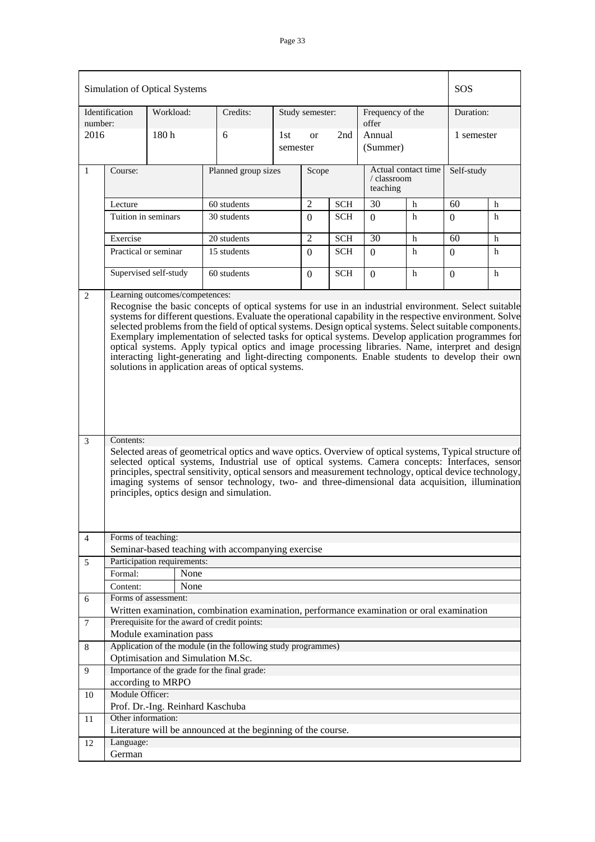| Simulation of Optical Systems |                                                                                                                                                                                                                                                                                                                                                                                                                                                                                                                                                                                                                                                                                                                                                                                                                                                                                                                                 | SOS                               |                                                                                                                                              |                 |                 |            |                                                |   |                                                                                                          |   |
|-------------------------------|---------------------------------------------------------------------------------------------------------------------------------------------------------------------------------------------------------------------------------------------------------------------------------------------------------------------------------------------------------------------------------------------------------------------------------------------------------------------------------------------------------------------------------------------------------------------------------------------------------------------------------------------------------------------------------------------------------------------------------------------------------------------------------------------------------------------------------------------------------------------------------------------------------------------------------|-----------------------------------|----------------------------------------------------------------------------------------------------------------------------------------------|-----------------|-----------------|------------|------------------------------------------------|---|----------------------------------------------------------------------------------------------------------|---|
| number:                       | Identification                                                                                                                                                                                                                                                                                                                                                                                                                                                                                                                                                                                                                                                                                                                                                                                                                                                                                                                  | Workload:                         | Credits:                                                                                                                                     |                 | Study semester: |            | Frequency of the<br>offer                      |   | Duration:                                                                                                |   |
| 2016                          |                                                                                                                                                                                                                                                                                                                                                                                                                                                                                                                                                                                                                                                                                                                                                                                                                                                                                                                                 | 180 <sub>h</sub>                  | 6                                                                                                                                            | 1st<br>semester | <b>or</b>       | 2nd        | Annual<br>(Summer)                             |   | 1 semester                                                                                               |   |
| 1                             | Course:                                                                                                                                                                                                                                                                                                                                                                                                                                                                                                                                                                                                                                                                                                                                                                                                                                                                                                                         |                                   | Planned group sizes                                                                                                                          |                 | Scope           |            | Actual contact time<br>/ classroom<br>teaching |   | Self-study                                                                                               |   |
|                               | Lecture                                                                                                                                                                                                                                                                                                                                                                                                                                                                                                                                                                                                                                                                                                                                                                                                                                                                                                                         |                                   | 60 students                                                                                                                                  |                 | $\overline{2}$  | <b>SCH</b> | 30                                             | h | 60                                                                                                       | h |
|                               | Tuition in seminars                                                                                                                                                                                                                                                                                                                                                                                                                                                                                                                                                                                                                                                                                                                                                                                                                                                                                                             |                                   | 30 students                                                                                                                                  |                 | $\Omega$        | <b>SCH</b> | $\Omega$                                       | h | 0                                                                                                        | h |
|                               |                                                                                                                                                                                                                                                                                                                                                                                                                                                                                                                                                                                                                                                                                                                                                                                                                                                                                                                                 |                                   |                                                                                                                                              |                 | $\overline{2}$  |            |                                                |   |                                                                                                          |   |
|                               | Exercise                                                                                                                                                                                                                                                                                                                                                                                                                                                                                                                                                                                                                                                                                                                                                                                                                                                                                                                        |                                   |                                                                                                                                              | 20 students     |                 | <b>SCH</b> | 30                                             | h | 60                                                                                                       | h |
|                               | Practical or seminar                                                                                                                                                                                                                                                                                                                                                                                                                                                                                                                                                                                                                                                                                                                                                                                                                                                                                                            |                                   | 15 students                                                                                                                                  |                 | $\Omega$        | <b>SCH</b> | $\theta$                                       | h | $\Omega$                                                                                                 | h |
|                               | Supervised self-study                                                                                                                                                                                                                                                                                                                                                                                                                                                                                                                                                                                                                                                                                                                                                                                                                                                                                                           |                                   | 60 students                                                                                                                                  |                 |                 | <b>SCH</b> | $\Omega$                                       | h | $\Omega$                                                                                                 | h |
| 3                             | Recognise the basic concepts of optical systems for use in an industrial environment. Select suitable<br>systems for different questions. Evaluate the operational capability in the respective environment. Solve<br>selected problems from the field of optical systems. Design optical systems. Select suitable components.<br>Exemplary implementation of selected tasks for optical systems. Develop application programmes for<br>optical systems. Apply typical optics and image processing libraries. Name, interpret and design<br>interacting light-generating and light-directing components. Enable students to develop their own<br>solutions in application areas of optical systems.<br>Contents:<br>Selected areas of geometrical optics and wave optics. Overview of optical systems, Typical structure of<br>selected optical systems, Industrial use of optical systems. Camera concepts: Interfaces, sensor |                                   |                                                                                                                                              |                 |                 |            |                                                |   | principles, spectral sensitivity, optical sensors and measurement technology, optical device technology, |   |
|                               |                                                                                                                                                                                                                                                                                                                                                                                                                                                                                                                                                                                                                                                                                                                                                                                                                                                                                                                                 |                                   | imaging systems of sensor technology, two- and three-dimensional data acquisition, illumination<br>principles, optics design and simulation. |                 |                 |            |                                                |   |                                                                                                          |   |
| 4                             | Forms of teaching:                                                                                                                                                                                                                                                                                                                                                                                                                                                                                                                                                                                                                                                                                                                                                                                                                                                                                                              |                                   | Seminar-based teaching with accompanying exercise                                                                                            |                 |                 |            |                                                |   |                                                                                                          |   |
| 5                             |                                                                                                                                                                                                                                                                                                                                                                                                                                                                                                                                                                                                                                                                                                                                                                                                                                                                                                                                 | Participation requirements:       |                                                                                                                                              |                 |                 |            |                                                |   |                                                                                                          |   |
|                               | Formal:                                                                                                                                                                                                                                                                                                                                                                                                                                                                                                                                                                                                                                                                                                                                                                                                                                                                                                                         | None                              |                                                                                                                                              |                 |                 |            |                                                |   |                                                                                                          |   |
|                               | Content:                                                                                                                                                                                                                                                                                                                                                                                                                                                                                                                                                                                                                                                                                                                                                                                                                                                                                                                        | None                              |                                                                                                                                              |                 |                 |            |                                                |   |                                                                                                          |   |
| 6                             |                                                                                                                                                                                                                                                                                                                                                                                                                                                                                                                                                                                                                                                                                                                                                                                                                                                                                                                                 | Forms of assessment:              |                                                                                                                                              |                 |                 |            |                                                |   |                                                                                                          |   |
|                               |                                                                                                                                                                                                                                                                                                                                                                                                                                                                                                                                                                                                                                                                                                                                                                                                                                                                                                                                 |                                   | Written examination, combination examination, performance examination or oral examination                                                    |                 |                 |            |                                                |   |                                                                                                          |   |
| 7                             |                                                                                                                                                                                                                                                                                                                                                                                                                                                                                                                                                                                                                                                                                                                                                                                                                                                                                                                                 |                                   | Prerequisite for the award of credit points:                                                                                                 |                 |                 |            |                                                |   |                                                                                                          |   |
|                               |                                                                                                                                                                                                                                                                                                                                                                                                                                                                                                                                                                                                                                                                                                                                                                                                                                                                                                                                 | Module examination pass           |                                                                                                                                              |                 |                 |            |                                                |   |                                                                                                          |   |
| 8                             |                                                                                                                                                                                                                                                                                                                                                                                                                                                                                                                                                                                                                                                                                                                                                                                                                                                                                                                                 |                                   | Application of the module (in the following study programmes)                                                                                |                 |                 |            |                                                |   |                                                                                                          |   |
|                               |                                                                                                                                                                                                                                                                                                                                                                                                                                                                                                                                                                                                                                                                                                                                                                                                                                                                                                                                 | Optimisation and Simulation M.Sc. |                                                                                                                                              |                 |                 |            |                                                |   |                                                                                                          |   |
| 9                             |                                                                                                                                                                                                                                                                                                                                                                                                                                                                                                                                                                                                                                                                                                                                                                                                                                                                                                                                 |                                   | Importance of the grade for the final grade:                                                                                                 |                 |                 |            |                                                |   |                                                                                                          |   |
|                               |                                                                                                                                                                                                                                                                                                                                                                                                                                                                                                                                                                                                                                                                                                                                                                                                                                                                                                                                 | according to MRPO                 |                                                                                                                                              |                 |                 |            |                                                |   |                                                                                                          |   |
| 10                            | Module Officer:                                                                                                                                                                                                                                                                                                                                                                                                                                                                                                                                                                                                                                                                                                                                                                                                                                                                                                                 |                                   |                                                                                                                                              |                 |                 |            |                                                |   |                                                                                                          |   |
|                               |                                                                                                                                                                                                                                                                                                                                                                                                                                                                                                                                                                                                                                                                                                                                                                                                                                                                                                                                 | Prof. Dr.-Ing. Reinhard Kaschuba  |                                                                                                                                              |                 |                 |            |                                                |   |                                                                                                          |   |
| 11                            | Other information:                                                                                                                                                                                                                                                                                                                                                                                                                                                                                                                                                                                                                                                                                                                                                                                                                                                                                                              |                                   |                                                                                                                                              |                 |                 |            |                                                |   |                                                                                                          |   |
|                               |                                                                                                                                                                                                                                                                                                                                                                                                                                                                                                                                                                                                                                                                                                                                                                                                                                                                                                                                 |                                   | Literature will be announced at the beginning of the course.                                                                                 |                 |                 |            |                                                |   |                                                                                                          |   |
| 12                            | Language:<br>German                                                                                                                                                                                                                                                                                                                                                                                                                                                                                                                                                                                                                                                                                                                                                                                                                                                                                                             |                                   |                                                                                                                                              |                 |                 |            |                                                |   |                                                                                                          |   |
|                               |                                                                                                                                                                                                                                                                                                                                                                                                                                                                                                                                                                                                                                                                                                                                                                                                                                                                                                                                 |                                   |                                                                                                                                              |                 |                 |            |                                                |   |                                                                                                          |   |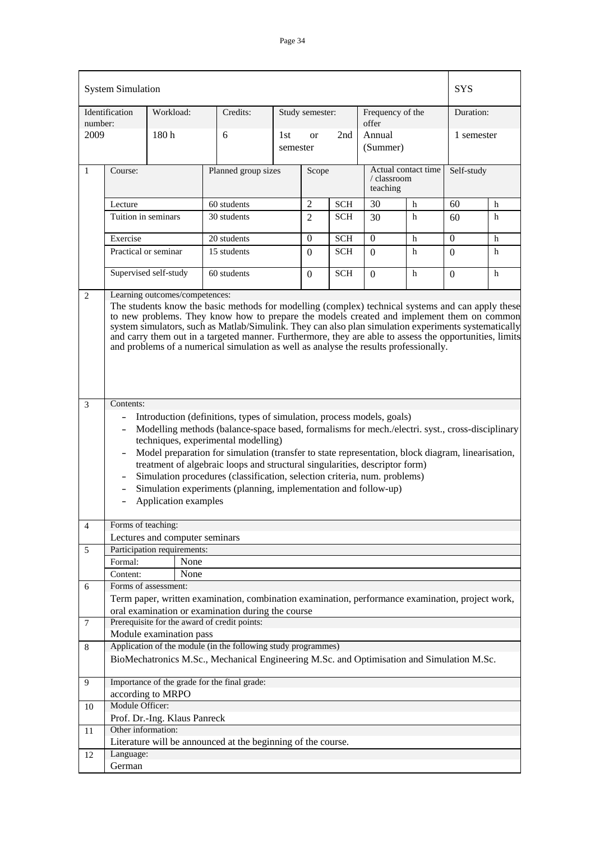|                 | <b>System Simulation</b>                                                                                                                                                                                                                                                                                                                                                                                                                                                                                                                                                                                                                                                                                      |                                     |                                                                                                                                                            |                 |                 |            |                           |                     | <b>SYS</b> |   |
|-----------------|---------------------------------------------------------------------------------------------------------------------------------------------------------------------------------------------------------------------------------------------------------------------------------------------------------------------------------------------------------------------------------------------------------------------------------------------------------------------------------------------------------------------------------------------------------------------------------------------------------------------------------------------------------------------------------------------------------------|-------------------------------------|------------------------------------------------------------------------------------------------------------------------------------------------------------|-----------------|-----------------|------------|---------------------------|---------------------|------------|---|
| number:         | Identification                                                                                                                                                                                                                                                                                                                                                                                                                                                                                                                                                                                                                                                                                                | Workload:                           | Credits:                                                                                                                                                   |                 | Study semester: |            | Frequency of the<br>offer |                     | Duration:  |   |
| 2009            |                                                                                                                                                                                                                                                                                                                                                                                                                                                                                                                                                                                                                                                                                                               | 180 <sub>h</sub>                    | 6                                                                                                                                                          | 1st<br>semester | <b>or</b>       | 2nd        | Annual<br>(Summer)        |                     | 1 semester |   |
| $\mathbf{1}$    | Course:                                                                                                                                                                                                                                                                                                                                                                                                                                                                                                                                                                                                                                                                                                       |                                     | Planned group sizes                                                                                                                                        |                 | Scope           |            | / classroom<br>teaching   | Actual contact time | Self-study |   |
|                 | Lecture                                                                                                                                                                                                                                                                                                                                                                                                                                                                                                                                                                                                                                                                                                       |                                     | 60 students                                                                                                                                                |                 | $\overline{2}$  | <b>SCH</b> | 30                        | h                   | 60         | h |
|                 | Tuition in seminars                                                                                                                                                                                                                                                                                                                                                                                                                                                                                                                                                                                                                                                                                           |                                     | 30 students                                                                                                                                                |                 | $\mathfrak{D}$  | <b>SCH</b> | 30                        | h                   | 60         | h |
|                 |                                                                                                                                                                                                                                                                                                                                                                                                                                                                                                                                                                                                                                                                                                               |                                     |                                                                                                                                                            |                 |                 |            |                           |                     |            |   |
|                 | Exercise                                                                                                                                                                                                                                                                                                                                                                                                                                                                                                                                                                                                                                                                                                      |                                     | 20 students                                                                                                                                                |                 | $\Omega$        | <b>SCH</b> | $\Omega$                  | h                   | $\Omega$   | h |
|                 | Practical or seminar                                                                                                                                                                                                                                                                                                                                                                                                                                                                                                                                                                                                                                                                                          |                                     | 15 students                                                                                                                                                |                 | $\Omega$        | <b>SCH</b> | $\Omega$                  | h                   | $\Omega$   | h |
|                 |                                                                                                                                                                                                                                                                                                                                                                                                                                                                                                                                                                                                                                                                                                               | Supervised self-study               | 60 students                                                                                                                                                |                 |                 | <b>SCH</b> | $\Omega$                  | h                   | 0          | h |
| $\mathfrak{2}$  | Learning outcomes/competences:                                                                                                                                                                                                                                                                                                                                                                                                                                                                                                                                                                                                                                                                                |                                     |                                                                                                                                                            |                 |                 |            |                           |                     |            |   |
|                 | The students know the basic methods for modelling (complex) technical systems and can apply these<br>to new problems. They know how to prepare the models created and implement them on common<br>system simulators, such as Matlab/Simulink. They can also plan simulation experiments systematically<br>and carry them out in a targeted manner. Furthermore, they are able to assess the opportunities, limits<br>and problems of a numerical simulation as well as analyse the results professionally.                                                                                                                                                                                                    |                                     |                                                                                                                                                            |                 |                 |            |                           |                     |            |   |
| 3               | Contents:<br>Introduction (definitions, types of simulation, process models, goals)<br>$\qquad \qquad -$<br>Modelling methods (balance-space based, formalisms for mech./electri. syst., cross-disciplinary<br>$\blacksquare$<br>techniques, experimental modelling)<br>Model preparation for simulation (transfer to state representation, block diagram, linearisation,<br>$\overline{\phantom{a}}$<br>treatment of algebraic loops and structural singularities, descriptor form)<br>Simulation procedures (classification, selection criteria, num. problems)<br>$\qquad \qquad -$<br>Simulation experiments (planning, implementation and follow-up)<br>$\overline{\phantom{a}}$<br>Application examples |                                     |                                                                                                                                                            |                 |                 |            |                           |                     |            |   |
| $\overline{4}$  | Forms of teaching:                                                                                                                                                                                                                                                                                                                                                                                                                                                                                                                                                                                                                                                                                            |                                     |                                                                                                                                                            |                 |                 |            |                           |                     |            |   |
|                 |                                                                                                                                                                                                                                                                                                                                                                                                                                                                                                                                                                                                                                                                                                               | Lectures and computer seminars      |                                                                                                                                                            |                 |                 |            |                           |                     |            |   |
| 5               | Formal:                                                                                                                                                                                                                                                                                                                                                                                                                                                                                                                                                                                                                                                                                                       | Participation requirements:<br>None |                                                                                                                                                            |                 |                 |            |                           |                     |            |   |
|                 | Content:                                                                                                                                                                                                                                                                                                                                                                                                                                                                                                                                                                                                                                                                                                      | None                                |                                                                                                                                                            |                 |                 |            |                           |                     |            |   |
| 6               |                                                                                                                                                                                                                                                                                                                                                                                                                                                                                                                                                                                                                                                                                                               | Forms of assessment:                |                                                                                                                                                            |                 |                 |            |                           |                     |            |   |
|                 |                                                                                                                                                                                                                                                                                                                                                                                                                                                                                                                                                                                                                                                                                                               |                                     | Term paper, written examination, combination examination, performance examination, project work,                                                           |                 |                 |            |                           |                     |            |   |
|                 |                                                                                                                                                                                                                                                                                                                                                                                                                                                                                                                                                                                                                                                                                                               |                                     | oral examination or examination during the course                                                                                                          |                 |                 |            |                           |                     |            |   |
| $7\phantom{.0}$ |                                                                                                                                                                                                                                                                                                                                                                                                                                                                                                                                                                                                                                                                                                               |                                     | Prerequisite for the award of credit points:                                                                                                               |                 |                 |            |                           |                     |            |   |
|                 |                                                                                                                                                                                                                                                                                                                                                                                                                                                                                                                                                                                                                                                                                                               | Module examination pass             |                                                                                                                                                            |                 |                 |            |                           |                     |            |   |
| 8               |                                                                                                                                                                                                                                                                                                                                                                                                                                                                                                                                                                                                                                                                                                               |                                     | Application of the module (in the following study programmes)<br>BioMechatronics M.Sc., Mechanical Engineering M.Sc. and Optimisation and Simulation M.Sc. |                 |                 |            |                           |                     |            |   |
| 9               |                                                                                                                                                                                                                                                                                                                                                                                                                                                                                                                                                                                                                                                                                                               |                                     | Importance of the grade for the final grade:                                                                                                               |                 |                 |            |                           |                     |            |   |
|                 |                                                                                                                                                                                                                                                                                                                                                                                                                                                                                                                                                                                                                                                                                                               | according to MRPO                   |                                                                                                                                                            |                 |                 |            |                           |                     |            |   |
| 10              | Module Officer:                                                                                                                                                                                                                                                                                                                                                                                                                                                                                                                                                                                                                                                                                               |                                     |                                                                                                                                                            |                 |                 |            |                           |                     |            |   |
|                 |                                                                                                                                                                                                                                                                                                                                                                                                                                                                                                                                                                                                                                                                                                               | Prof. Dr.-Ing. Klaus Panreck        |                                                                                                                                                            |                 |                 |            |                           |                     |            |   |
| 11              | Other information:                                                                                                                                                                                                                                                                                                                                                                                                                                                                                                                                                                                                                                                                                            |                                     |                                                                                                                                                            |                 |                 |            |                           |                     |            |   |
|                 |                                                                                                                                                                                                                                                                                                                                                                                                                                                                                                                                                                                                                                                                                                               |                                     | Literature will be announced at the beginning of the course.                                                                                               |                 |                 |            |                           |                     |            |   |
| 12              | Language:                                                                                                                                                                                                                                                                                                                                                                                                                                                                                                                                                                                                                                                                                                     |                                     |                                                                                                                                                            |                 |                 |            |                           |                     |            |   |
|                 | German                                                                                                                                                                                                                                                                                                                                                                                                                                                                                                                                                                                                                                                                                                        |                                     |                                                                                                                                                            |                 |                 |            |                           |                     |            |   |